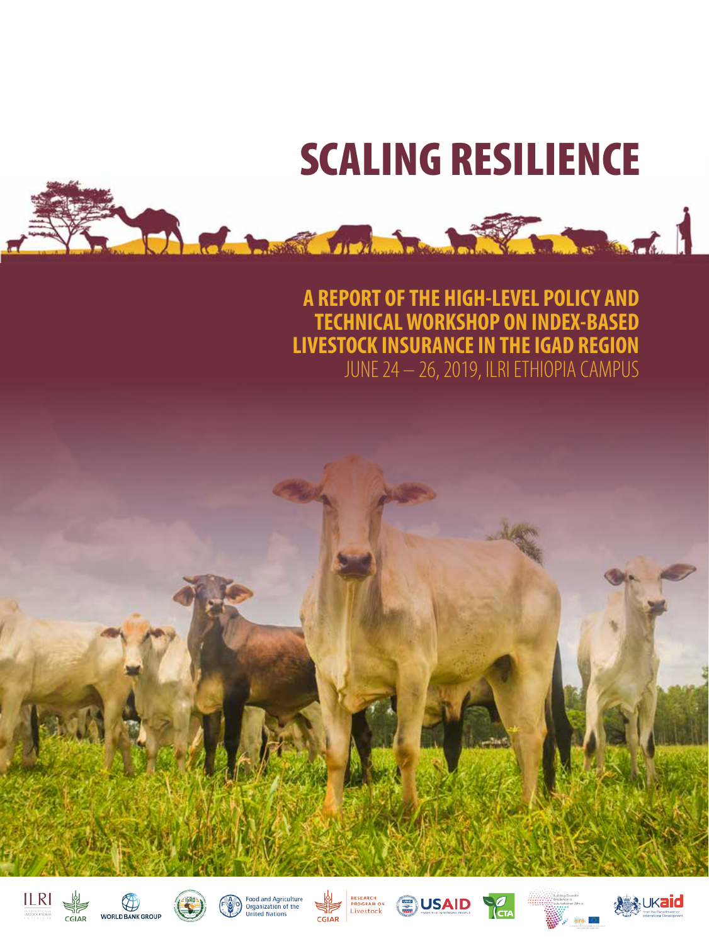# SCALING RESILIENCE

# **A REPORT OF THE HIGH-LEVEL POLICY AND TECHNICAL WORKSHOP ON INDEX-BASED LIVESTOCK INSURANCE IN THE IGAD REGION**  JUNE 24 – 26, 2019, ILRI ETHIOPIA CAMPUS

Dad book make be a finder to be a



















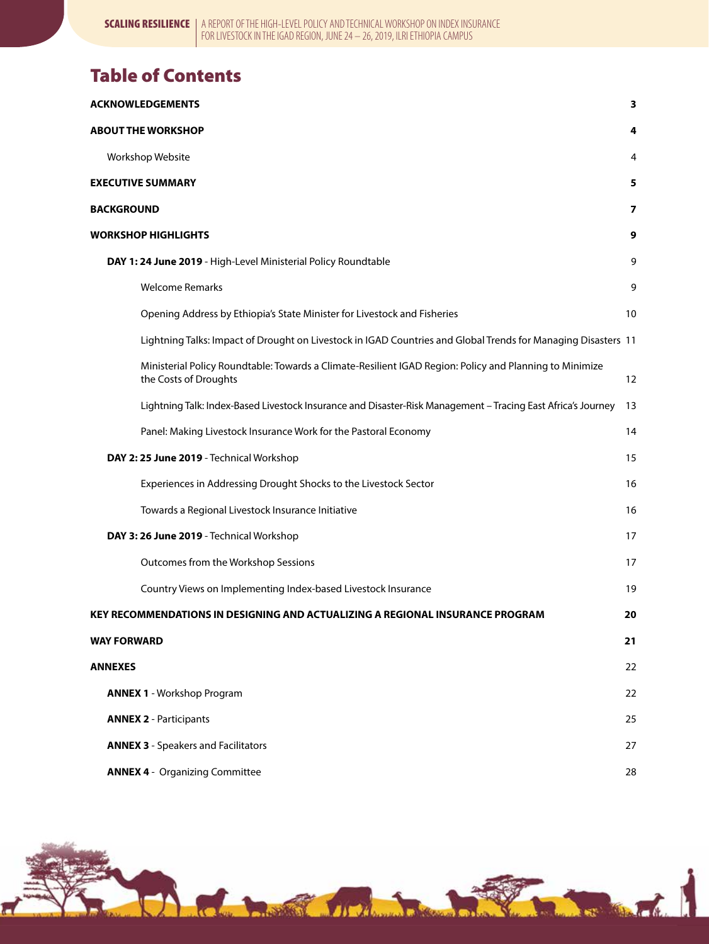# Table of Contents

| <b>ACKNOWLEDGEMENTS</b><br>3                                                                                                     |    |  |
|----------------------------------------------------------------------------------------------------------------------------------|----|--|
| <b>ABOUT THE WORKSHOP</b>                                                                                                        | 4  |  |
| Workshop Website                                                                                                                 | 4  |  |
| <b>EXECUTIVE SUMMARY</b>                                                                                                         | 5  |  |
| <b>BACKGROUND</b>                                                                                                                | 7  |  |
| <b>WORKSHOP HIGHLIGHTS</b>                                                                                                       | 9  |  |
| DAY 1: 24 June 2019 - High-Level Ministerial Policy Roundtable                                                                   | 9  |  |
| <b>Welcome Remarks</b>                                                                                                           | 9  |  |
| Opening Address by Ethiopia's State Minister for Livestock and Fisheries                                                         | 10 |  |
| Lightning Talks: Impact of Drought on Livestock in IGAD Countries and Global Trends for Managing Disasters 11                    |    |  |
| Ministerial Policy Roundtable: Towards a Climate-Resilient IGAD Region: Policy and Planning to Minimize<br>the Costs of Droughts | 12 |  |
| Lightning Talk: Index-Based Livestock Insurance and Disaster-Risk Management - Tracing East Africa's Journey                     | 13 |  |
| Panel: Making Livestock Insurance Work for the Pastoral Economy                                                                  | 14 |  |
| DAY 2: 25 June 2019 - Technical Workshop                                                                                         | 15 |  |
| Experiences in Addressing Drought Shocks to the Livestock Sector                                                                 | 16 |  |
| Towards a Regional Livestock Insurance Initiative                                                                                | 16 |  |
| DAY 3: 26 June 2019 - Technical Workshop                                                                                         | 17 |  |
| Outcomes from the Workshop Sessions                                                                                              | 17 |  |
| Country Views on Implementing Index-based Livestock Insurance                                                                    | 19 |  |
| KEY RECOMMENDATIONS IN DESIGNING AND ACTUALIZING A REGIONAL INSURANCE PROGRAM                                                    | 20 |  |
| <b>WAY FORWARD</b>                                                                                                               | 21 |  |
| <b>ANNEXES</b>                                                                                                                   | 22 |  |
| <b>ANNEX 1 - Workshop Program</b>                                                                                                | 22 |  |
| <b>ANNEX 2 - Participants</b>                                                                                                    | 25 |  |
| <b>ANNEX 3</b> - Speakers and Facilitators                                                                                       | 27 |  |
| <b>ANNEX 4 - Organizing Committee</b>                                                                                            | 28 |  |

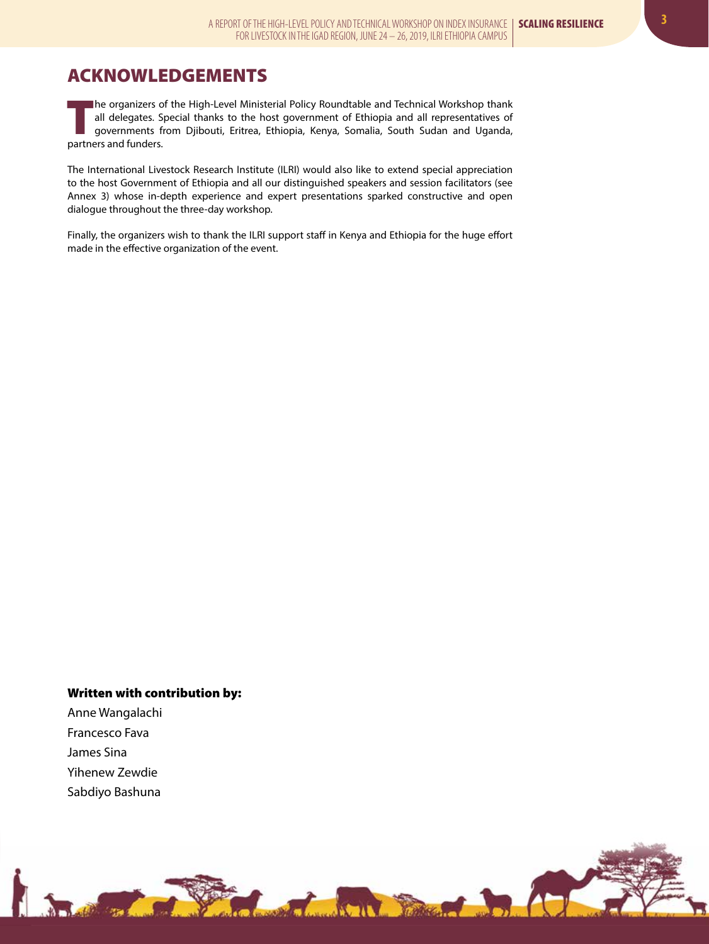# ACKNOWLEDGEMENTS

The organizers of the High-Level Ministerial Policy Roundtable and Technical Workshop thank all delegates. Special thanks to the host government of Ethiopia and all representatives of governments from Djibouti, Eritrea, Ethiopia, Kenya, Somalia, South Sudan and Uganda, partners and funders.

The International Livestock Research Institute (ILRI) would also like to extend special appreciation to the host Government of Ethiopia and all our distinguished speakers and session facilitators (see Annex 3) whose in-depth experience and expert presentations sparked constructive and open dialogue throughout the three-day workshop.

Finally, the organizers wish to thank the ILRI support staff in Kenya and Ethiopia for the huge effort made in the effective organization of the event.

# Written with contribution by:

Anne Wangalachi Francesco Fava James Sina Yihenew Zewdie Sabdiyo Bashuna

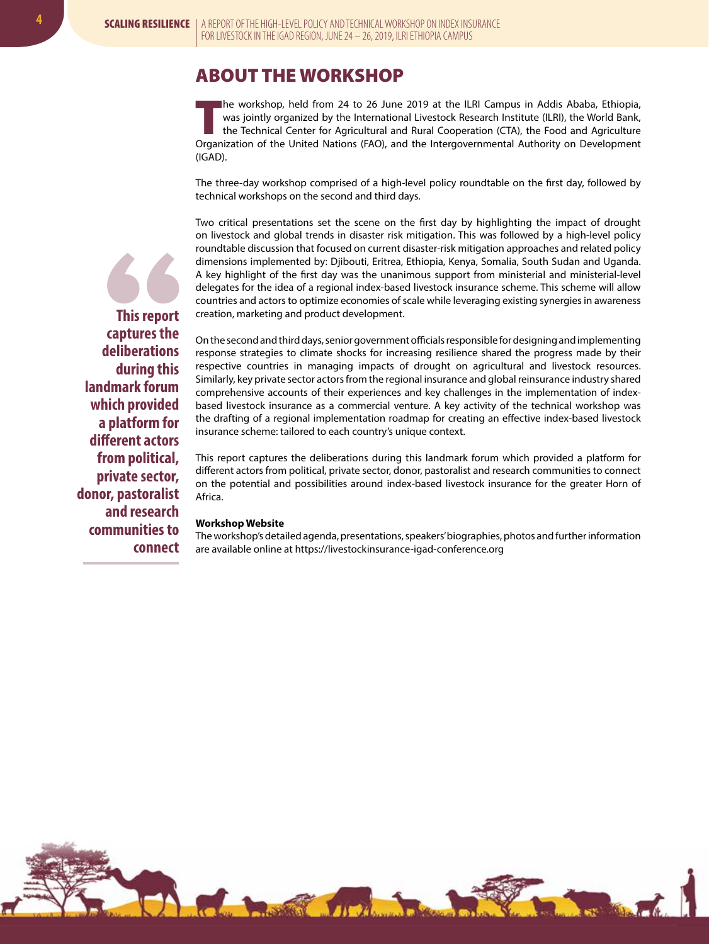# ABOUT THE WORKSHOP

The workshop, held from 24 to 26 June 2019 at the ILRI Campus in Addis Ababa, Ethiopia,<br>was jointly organized by the International Livestock Research Institute (ILRI), the World Bank,<br>the Technical Center for Agricultural was jointly organized by the International Livestock Research Institute (ILRI), the World Bank, the Technical Center for Agricultural and Rural Cooperation (CTA), the Food and Agriculture Organization of the United Nations (FAO), and the Intergovernmental Authority on Development (IGAD).

The three-day workshop comprised of a high-level policy roundtable on the first day, followed by technical workshops on the second and third days.

Two critical presentations set the scene on the first day by highlighting the impact of drought on livestock and global trends in disaster risk mitigation. This was followed by a high-level policy roundtable discussion that focused on current disaster-risk mitigation approaches and related policy dimensions implemented by: Djibouti, Eritrea, Ethiopia, Kenya, Somalia, South Sudan and Uganda. A key highlight of the first day was the unanimous support from ministerial and ministerial-level delegates for the idea of a regional index-based livestock insurance scheme. This scheme will allow countries and actors to optimize economies of scale while leveraging existing synergies in awareness creation, marketing and product development.

On the second and third days, senior government officials responsible for designing and implementing response strategies to climate shocks for increasing resilience shared the progress made by their respective countries in managing impacts of drought on agricultural and livestock resources. Similarly, key private sector actors from the regional insurance and global reinsurance industry shared comprehensive accounts of their experiences and key challenges in the implementation of indexbased livestock insurance as a commercial venture. A key activity of the technical workshop was the drafting of a regional implementation roadmap for creating an effective index-based livestock insurance scheme: tailored to each country's unique context.

This report captures the deliberations during this landmark forum which provided a platform for different actors from political, private sector, donor, pastoralist and research communities to connect on the potential and possibilities around index-based livestock insurance for the greater Horn of Africa.

#### **Workshop Website**

The workshop's detailed agenda, presentations, speakers' biographies, photos and further information are available online at https://livestockinsurance-igad-conference.org

**This report captures the deliberations during this landmark forum which provided a platform for different actors from political, private sector, donor, pastoralist and research communities to connect**

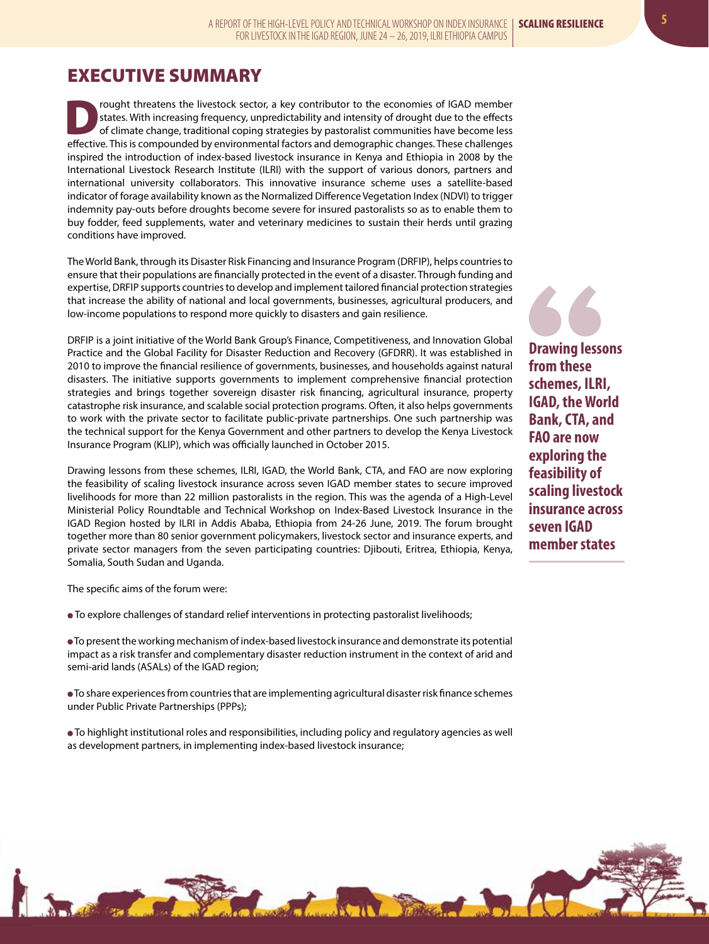# EXECUTIVE SUMMARY

From the livestock sector, a key contributor to the economies of IGAD member<br>states. With increasing frequency, unpredictability and intensity of drought due to the effects<br>of climate change, traditional coping strategies states. With increasing frequency, unpredictability and intensity of drought due to the effects of climate change, traditional coping strategies by pastoralist communities have become less effective. This is compounded by environmental factors and demographic changes. These challenges inspired the introduction of index-based livestock insurance in Kenya and Ethiopia in 2008 by the International Livestock Research Institute (ILRI) with the support of various donors, partners and international university collaborators. This innovative insurance scheme uses a satellite-based indicator of forage availability known as the Normalized Difference Vegetation Index (NDVI) to trigger indemnity pay-outs before droughts become severe for insured pastoralists so as to enable them to buy fodder, feed supplements, water and veterinary medicines to sustain their herds until grazing conditions have improved.

The World Bank, through its Disaster Risk Financing and Insurance Program (DRFIP), helps countries to ensure that their populations are financially protected in the event of a disaster. Through funding and expertise, DRFIP supports countries to develop and implement tailored financial protection strategies that increase the ability of national and local governments, businesses, agricultural producers, and low-income populations to respond more quickly to disasters and gain resilience.

DRFIP is a joint initiative of the World Bank Group's Finance, Competitiveness, and Innovation Global Practice and the Global Facility for Disaster Reduction and Recovery (GFDRR). It was established in 2010 to improve the financial resilience of governments, businesses, and households against natural disasters. The initiative supports governments to implement comprehensive financial protection strategies and brings together sovereign disaster risk financing, agricultural insurance, property catastrophe risk insurance, and scalable social protection programs. Often, it also helps governments to work with the private sector to facilitate public-private partnerships. One such partnership was the technical support for the Kenya Government and other partners to develop the Kenya Livestock Insurance Program (KLIP), which was officially launched in October 2015.

Drawing lessons from these schemes, ILRI, IGAD, the World Bank, CTA, and FAO are now exploring the feasibility of scaling livestock insurance across seven IGAD member states to secure improved livelihoods for more than 22 million pastoralists in the region. This was the agenda of a High-Level Ministerial Policy Roundtable and Technical Workshop on Index-Based Livestock Insurance in the IGAD Region hosted by ILRI in Addis Ababa, Ethiopia from 24-26 June, 2019. The forum brought together more than 80 senior government policymakers, livestock sector and insurance experts, and private sector managers from the seven participating countries: Djibouti, Eritrea, Ethiopia, Kenya, Somalia, South Sudan and Uganda.

The specific aims of the forum were:

To explore challenges of standard relief interventions in protecting pastoralist livelihoods;

 To present the working mechanism of index-based livestock insurance and demonstrate its potential impact as a risk transfer and complementary disaster reduction instrument in the context of arid and semi-arid lands (ASALs) of the IGAD region;

 To share experiences from countries that are implementing agricultural disaster risk finance schemes under Public Private Partnerships (PPPs);

 To highlight institutional roles and responsibilities, including policy and regulatory agencies as well as development partners, in implementing index-based livestock insurance;

**Drawing lessons from these schemes, ILRI, IGAD, the World Bank, CTA, and FAO are now exploring the feasibility of scaling livestock insurance across seven IGAD member states**



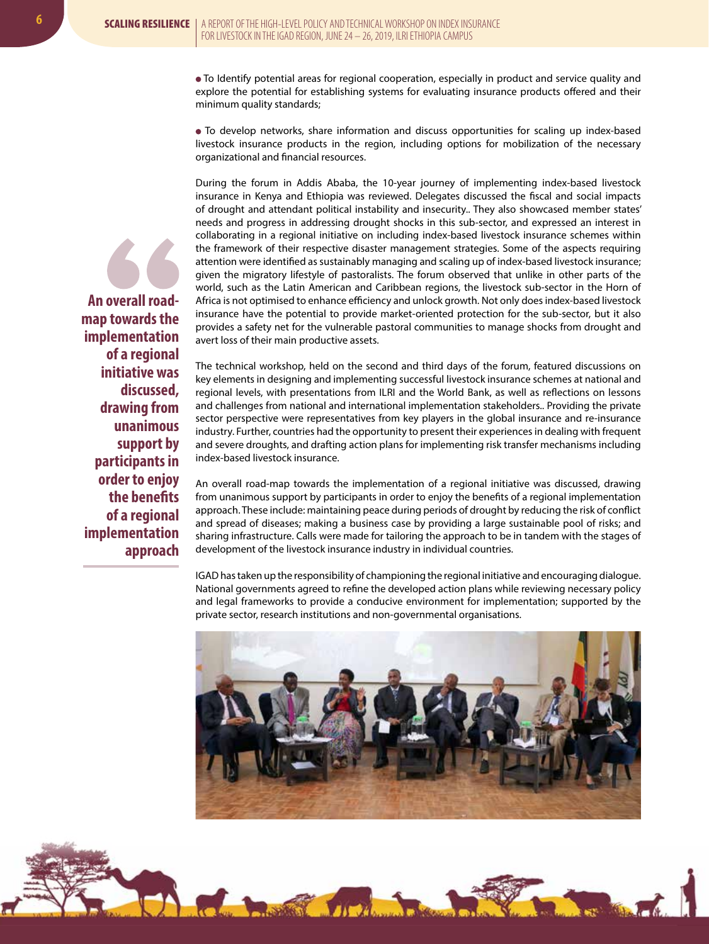To Identify potential areas for regional cooperation, especially in product and service quality and explore the potential for establishing systems for evaluating insurance products offered and their minimum quality standards;

 To develop networks, share information and discuss opportunities for scaling up index-based livestock insurance products in the region, including options for mobilization of the necessary organizational and financial resources.

During the forum in Addis Ababa, the 10-year journey of implementing index-based livestock insurance in Kenya and Ethiopia was reviewed. Delegates discussed the fiscal and social impacts of drought and attendant political instability and insecurity.. They also showcased member states' needs and progress in addressing drought shocks in this sub-sector, and expressed an interest in collaborating in a regional initiative on including index-based livestock insurance schemes within the framework of their respective disaster management strategies. Some of the aspects requiring attention were identified as sustainably managing and scaling up of index-based livestock insurance; given the migratory lifestyle of pastoralists. The forum observed that unlike in other parts of the world, such as the Latin American and Caribbean regions, the livestock sub-sector in the Horn of Africa is not optimised to enhance efficiency and unlock growth. Not only does index-based livestock insurance have the potential to provide market-oriented protection for the sub-sector, but it also provides a safety net for the vulnerable pastoral communities to manage shocks from drought and avert loss of their main productive assets.

The technical workshop, held on the second and third days of the forum, featured discussions on key elements in designing and implementing successful livestock insurance schemes at national and regional levels, with presentations from ILRI and the World Bank, as well as reflections on lessons and challenges from national and international implementation stakeholders.. Providing the private sector perspective were representatives from key players in the global insurance and re-insurance industry. Further, countries had the opportunity to present their experiences in dealing with frequent and severe droughts, and drafting action plans for implementing risk transfer mechanisms including index-based livestock insurance.

An overall road-map towards the implementation of a regional initiative was discussed, drawing from unanimous support by participants in order to enjoy the benefits of a regional implementation approach. These include: maintaining peace during periods of drought by reducing the risk of conflict and spread of diseases; making a business case by providing a large sustainable pool of risks; and sharing infrastructure. Calls were made for tailoring the approach to be in tandem with the stages of development of the livestock insurance industry in individual countries.

IGAD has taken up the responsibility of championing the regional initiative and encouraging dialogue. National governments agreed to refine the developed action plans while reviewing necessary policy and legal frameworks to provide a conducive environment for implementation; supported by the private sector, research institutions and non-governmental organisations.





**An overall roadmap towards the implementation of a regional initiative was discussed, drawing from unanimous support by participants in order to enjoy the benefits of a regional implementation approach**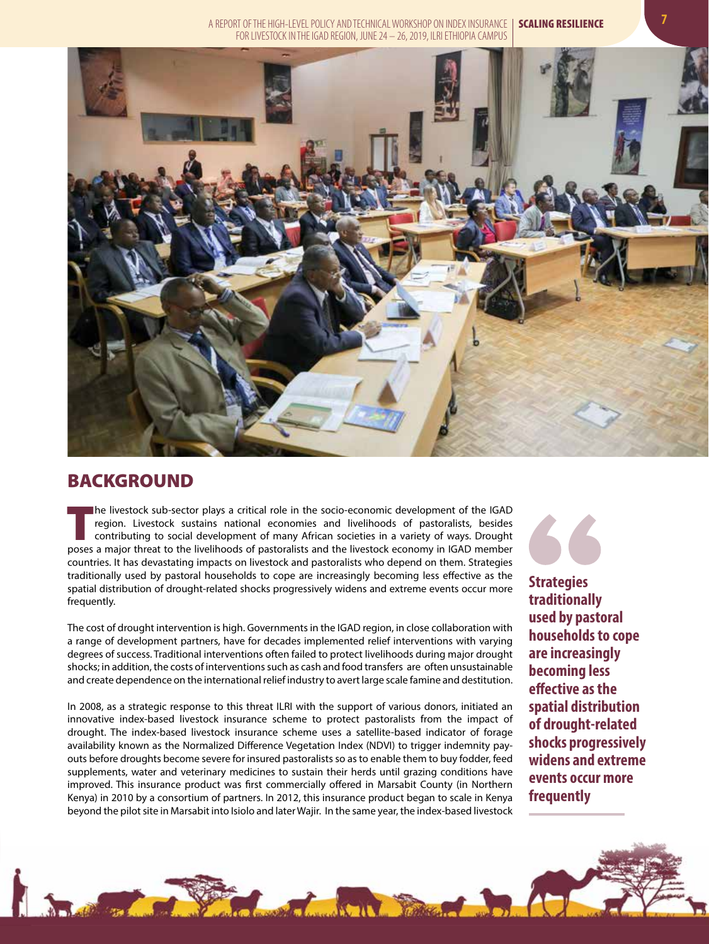A REPORT OF THE HIGH-LEVEL POLICY AND TECHNICAL WORKSHOP ON INDEX INSURANCE | SCALING RESILIENCE FOR LIVESTOCK IN THE IGAD REGION, JUNE 24 – 26, 2019, ILRI ETHIOPIA CAMPUS



# BACKGROUND

The livestock sub-sector plays a critical role in the socio-economic development of the IGAD region. Livestock sustains national economies and livelihoods of pastoralists, besides contributing to social development of many region. Livestock sustains national economies and livelihoods of pastoralists, besides poses a major threat to the livelihoods of pastoralists and the livestock economy in IGAD member countries. It has devastating impacts on livestock and pastoralists who depend on them. Strategies traditionally used by pastoral households to cope are increasingly becoming less effective as the spatial distribution of drought-related shocks progressively widens and extreme events occur more frequently.

The cost of drought intervention is high. Governments in the IGAD region, in close collaboration with a range of development partners, have for decades implemented relief interventions with varying degrees of success. Traditional interventions often failed to protect livelihoods during major drought shocks; in addition, the costs of interventions such as cash and food transfers are often unsustainable and create dependence on the international relief industry to avert large scale famine and destitution.

In 2008, as a strategic response to this threat ILRI with the support of various donors, initiated an innovative index-based livestock insurance scheme to protect pastoralists from the impact of drought. The index-based livestock insurance scheme uses a satellite-based indicator of forage availability known as the Normalized Difference Vegetation Index (NDVI) to trigger indemnity payouts before droughts become severe for insured pastoralists so as to enable them to buy fodder, feed supplements, water and veterinary medicines to sustain their herds until grazing conditions have improved. This insurance product was first commercially offered in Marsabit County (in Northern Kenya) in 2010 by a consortium of partners. In 2012, this insurance product began to scale in Kenya beyond the pilot site in Marsabit into Isiolo and later Wajir. In the same year, the index-based livestock

State Act Company

**Strategies traditionally used by pastoral households to cope are increasingly becoming less effective as the spatial distribution of drought-related shocks progressively widens and extreme events occur more frequently**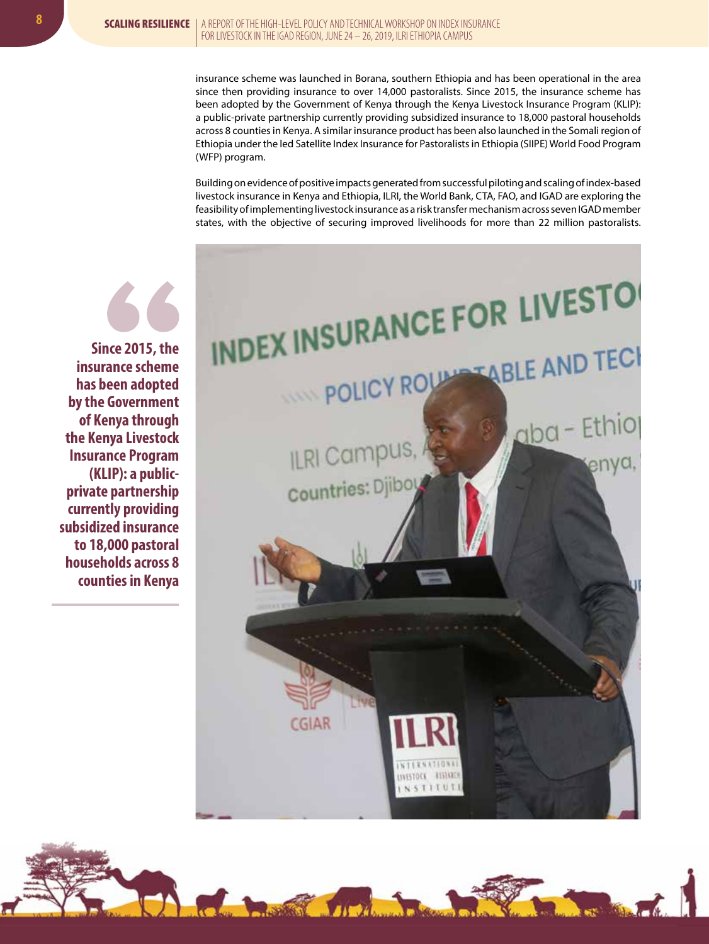insurance scheme was launched in Borana, southern Ethiopia and has been operational in the area since then providing insurance to over 14,000 pastoralists. Since 2015, the insurance scheme has been adopted by the Government of Kenya through the Kenya Livestock Insurance Program (KLIP): a public-private partnership currently providing subsidized insurance to 18,000 pastoral households across 8 counties in Kenya. A similar insurance product has been also launched in the Somali region of Ethiopia under the led Satellite Index Insurance for Pastoralists in Ethiopia (SIIPE) World Food Program (WFP) program.

Building on evidence of positive impacts generated from successful piloting and scaling of index-based livestock insurance in Kenya and Ethiopia, ILRI, the World Bank, CTA, FAO, and IGAD are exploring the feasibility of implementing livestock insurance as a risk transfer mechanism across seven IGAD member states, with the objective of securing improved livelihoods for more than 22 million pastoralists.



**Since 2015, the insurance scheme has been adopted by the Government of Kenya through the Kenya Livestock Insurance Program (KLIP): a publicprivate partnership currently providing subsidized insurance to 18,000 pastoral households across 8 counties in Kenya**

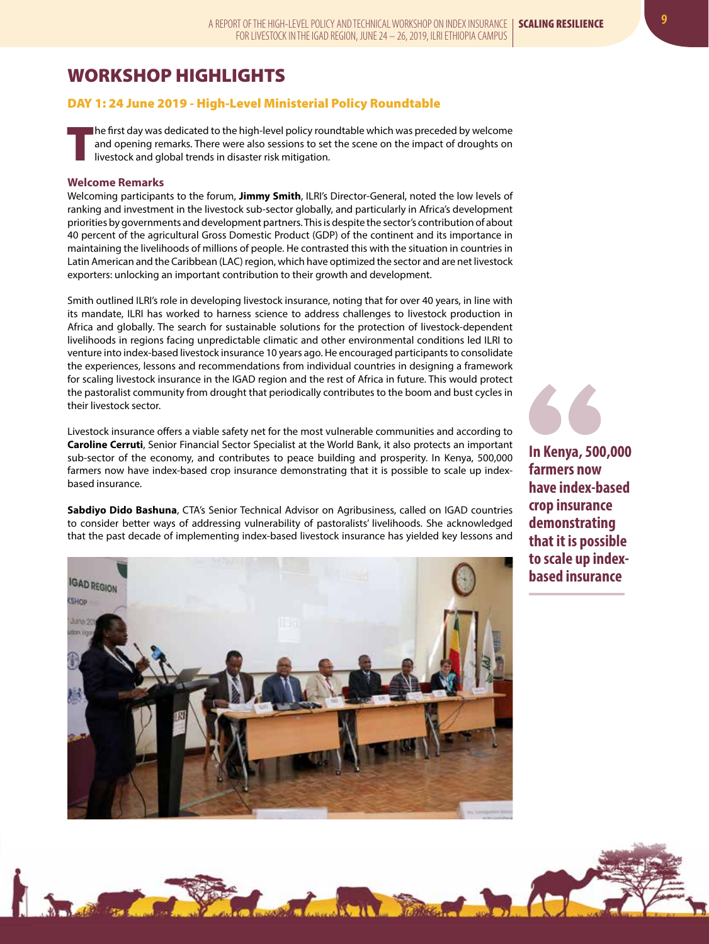# WORKSHOP HIGHLIGHTS

## DAY 1: 24 June 2019 - High-Level Ministerial Policy Roundtable

The first day was dedicated to the high-level policy roundtable which was preceded by welcome and opening remarks. There were also sessions to set the scene on the impact of droughts on livestock and global trends in disaster risk mitigation.

#### **Welcome Remarks**

Welcoming participants to the forum, **Jimmy Smith**, ILRI's Director-General, noted the low levels of ranking and investment in the livestock sub-sector globally, and particularly in Africa's development priorities by governments and development partners. This is despite the sector's contribution of about 40 percent of the agricultural Gross Domestic Product (GDP) of the continent and its importance in maintaining the livelihoods of millions of people. He contrasted this with the situation in countries in Latin American and the Caribbean (LAC) region, which have optimized the sector and are net livestock exporters: unlocking an important contribution to their growth and development.

Smith outlined ILRI's role in developing livestock insurance, noting that for over 40 years, in line with its mandate, ILRI has worked to harness science to address challenges to livestock production in Africa and globally. The search for sustainable solutions for the protection of livestock-dependent livelihoods in regions facing unpredictable climatic and other environmental conditions led ILRI to venture into index-based livestock insurance 10 years ago. He encouraged participants to consolidate the experiences, lessons and recommendations from individual countries in designing a framework for scaling livestock insurance in the IGAD region and the rest of Africa in future. This would protect the pastoralist community from drought that periodically contributes to the boom and bust cycles in their livestock sector.

Livestock insurance offers a viable safety net for the most vulnerable communities and according to **Caroline Cerruti**, Senior Financial Sector Specialist at the World Bank, it also protects an important sub-sector of the economy, and contributes to peace building and prosperity. In Kenya, 500,000 farmers now have index-based crop insurance demonstrating that it is possible to scale up indexbased insurance.

**Sabdiyo Dido Bashuna**, CTA's Senior Technical Advisor on Agribusiness, called on IGAD countries to consider better ways of addressing vulnerability of pastoralists' livelihoods. She acknowledged that the past decade of implementing index-based livestock insurance has yielded key lessons and



**In Kenya, 500,000 farmers now have index-based crop insurance demonstrating that it is possible to scale up indexbased insurance**

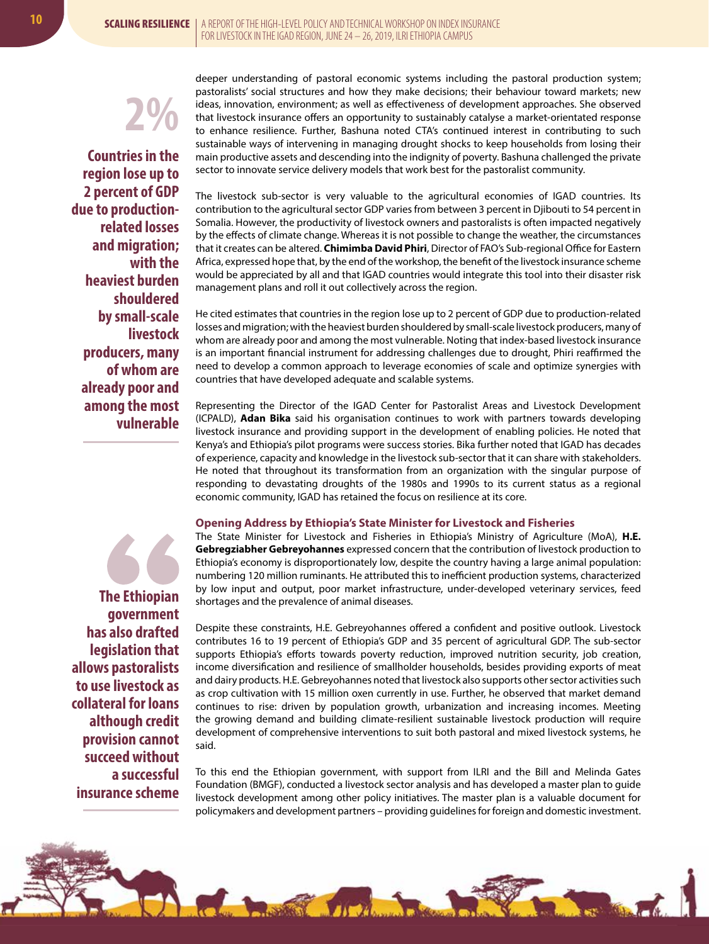**2% Countries in the region lose up to 2 percent of GDP due to productionrelated losses and migration; with the heaviest burden shouldered by small-scale livestock producers, many of whom are already poor and among the most vulnerable**

deeper understanding of pastoral economic systems including the pastoral production system; pastoralists' social structures and how they make decisions; their behaviour toward markets; new ideas, innovation, environment; as well as effectiveness of development approaches. She observed that livestock insurance offers an opportunity to sustainably catalyse a market-orientated response to enhance resilience. Further, Bashuna noted CTA's continued interest in contributing to such sustainable ways of intervening in managing drought shocks to keep households from losing their main productive assets and descending into the indignity of poverty. Bashuna challenged the private sector to innovate service delivery models that work best for the pastoralist community.

The livestock sub-sector is very valuable to the agricultural economies of IGAD countries. Its contribution to the agricultural sector GDP varies from between 3 percent in Djibouti to 54 percent in Somalia. However, the productivity of livestock owners and pastoralists is often impacted negatively by the effects of climate change. Whereas it is not possible to change the weather, the circumstances that it creates can be altered. **Chimimba David Phiri**, Director of FAO's Sub-regional Office for Eastern Africa, expressed hope that, by the end of the workshop, the benefit of the livestock insurance scheme would be appreciated by all and that IGAD countries would integrate this tool into their disaster risk management plans and roll it out collectively across the region.

He cited estimates that countries in the region lose up to 2 percent of GDP due to production-related losses and migration; with the heaviest burden shouldered by small-scale livestock producers, many of whom are already poor and among the most vulnerable. Noting that index-based livestock insurance is an important financial instrument for addressing challenges due to drought, Phiri reaffirmed the need to develop a common approach to leverage economies of scale and optimize synergies with countries that have developed adequate and scalable systems.

Representing the Director of the IGAD Center for Pastoralist Areas and Livestock Development (ICPALD), **Adan Bika** said his organisation continues to work with partners towards developing livestock insurance and providing support in the development of enabling policies. He noted that Kenya's and Ethiopia's pilot programs were success stories. Bika further noted that IGAD has decades of experience, capacity and knowledge in the livestock sub-sector that it can share with stakeholders. He noted that throughout its transformation from an organization with the singular purpose of responding to devastating droughts of the 1980s and 1990s to its current status as a regional economic community, IGAD has retained the focus on resilience at its core.

#### **Opening Address by Ethiopia's State Minister for Livestock and Fisheries**

The State Minister for Livestock and Fisheries in Ethiopia's Ministry of Agriculture (MoA), **H.E. Gebregziabher Gebreyohannes** expressed concern that the contribution of livestock production to Ethiopia's economy is disproportionately low, despite the country having a large animal population: numbering 120 million ruminants. He attributed this to inefficient production systems, characterized by low input and output, poor market infrastructure, under-developed veterinary services, feed shortages and the prevalence of animal diseases.

Despite these constraints, H.E. Gebreyohannes offered a confident and positive outlook. Livestock contributes 16 to 19 percent of Ethiopia's GDP and 35 percent of agricultural GDP. The sub-sector supports Ethiopia's efforts towards poverty reduction, improved nutrition security, job creation, income diversification and resilience of smallholder households, besides providing exports of meat and dairy products. H.E. Gebreyohannes noted that livestock also supports other sector activities such as crop cultivation with 15 million oxen currently in use. Further, he observed that market demand continues to rise: driven by population growth, urbanization and increasing incomes. Meeting the growing demand and building climate-resilient sustainable livestock production will require development of comprehensive interventions to suit both pastoral and mixed livestock systems, he said.

To this end the Ethiopian government, with support from ILRI and the Bill and Melinda Gates Foundation (BMGF), conducted a livestock sector analysis and has developed a master plan to guide livestock development among other policy initiatives. The master plan is a valuable document for policymakers and development partners – providing guidelines for foreign and domestic investment.

**The Ethiopian government has also drafted legislation that allows pastoralists to use livestock as collateral for loans although credit provision cannot succeed without a successful insurance scheme**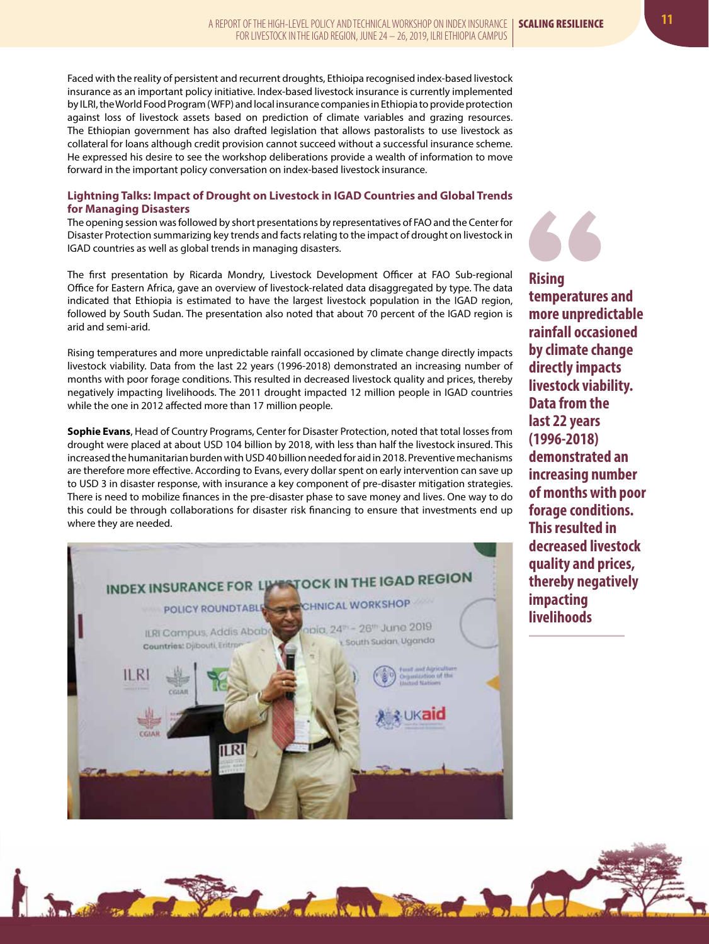Faced with the reality of persistent and recurrent droughts, Ethioipa recognised index-based livestock insurance as an important policy initiative. Index-based livestock insurance is currently implemented by ILRI, the World Food Program (WFP) and local insurance companies in Ethiopia to provide protection against loss of livestock assets based on prediction of climate variables and grazing resources. The Ethiopian government has also drafted legislation that allows pastoralists to use livestock as collateral for loans although credit provision cannot succeed without a successful insurance scheme. He expressed his desire to see the workshop deliberations provide a wealth of information to move forward in the important policy conversation on index-based livestock insurance.

## **Lightning Talks: Impact of Drought on Livestock in IGAD Countries and Global Trends for Managing Disasters**

The opening session was followed by short presentations by representatives of FAO and the Center for Disaster Protection summarizing key trends and facts relating to the impact of drought on livestock in IGAD countries as well as global trends in managing disasters.

The first presentation by Ricarda Mondry, Livestock Development Officer at FAO Sub-regional Office for Eastern Africa, gave an overview of livestock-related data disaggregated by type. The data indicated that Ethiopia is estimated to have the largest livestock population in the IGAD region, followed by South Sudan. The presentation also noted that about 70 percent of the IGAD region is arid and semi-arid.

Rising temperatures and more unpredictable rainfall occasioned by climate change directly impacts livestock viability. Data from the last 22 years (1996-2018) demonstrated an increasing number of months with poor forage conditions. This resulted in decreased livestock quality and prices, thereby negatively impacting livelihoods. The 2011 drought impacted 12 million people in IGAD countries while the one in 2012 affected more than 17 million people.

**Sophie Evans**, Head of Country Programs, Center for Disaster Protection, noted that total losses from drought were placed at about USD 104 billion by 2018, with less than half the livestock insured. This increased the humanitarian burden with USD 40 billion needed for aid in 2018. Preventive mechanisms are therefore more effective. According to Evans, every dollar spent on early intervention can save up to USD 3 in disaster response, with insurance a key component of pre-disaster mitigation strategies. There is need to mobilize finances in the pre-disaster phase to save money and lives. One way to do this could be through collaborations for disaster risk financing to ensure that investments end up where they are needed.



**Rising temperatures and more unpredictable rainfall occasioned by climate change directly impacts livestock viability. Data from the last 22 years (1996-2018) demonstrated an increasing number of months with poor forage conditions. This resulted in decreased livestock quality and prices, thereby negatively impacting livelihoods**

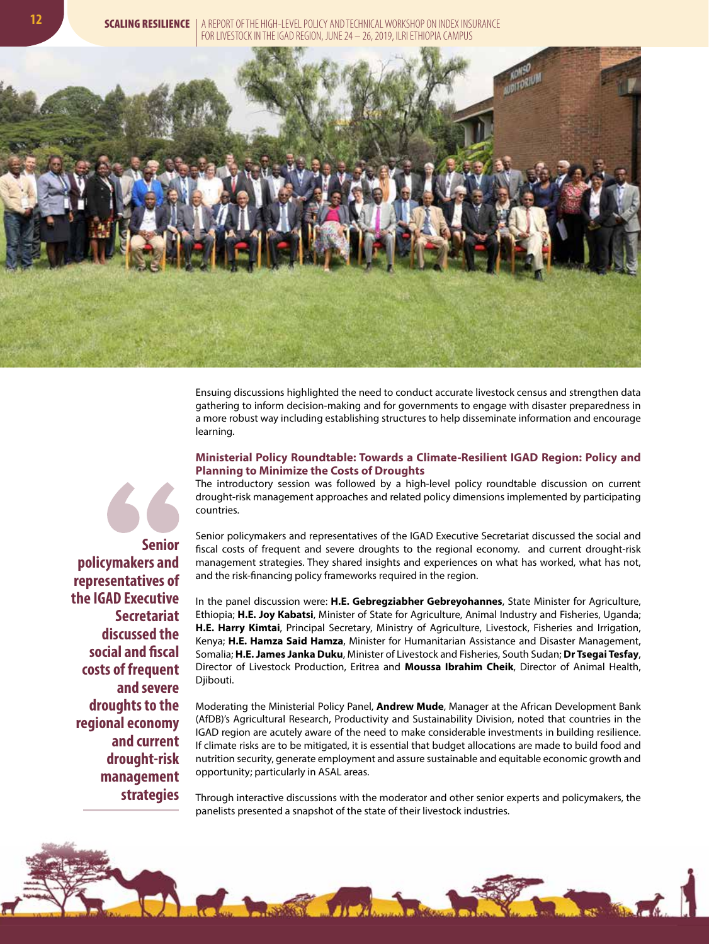

Ensuing discussions highlighted the need to conduct accurate livestock census and strengthen data gathering to inform decision-making and for governments to engage with disaster preparedness in a more robust way including establishing structures to help disseminate information and encourage learning.

#### **Ministerial Policy Roundtable: Towards a Climate-Resilient IGAD Region: Policy and Planning to Minimize the Costs of Droughts**

The introductory session was followed by a high-level policy roundtable discussion on current drought-risk management approaches and related policy dimensions implemented by participating countries.

Senior policymakers and representatives of the IGAD Executive Secretariat discussed the social and fiscal costs of frequent and severe droughts to the regional economy. and current drought-risk management strategies. They shared insights and experiences on what has worked, what has not, and the risk-financing policy frameworks required in the region.

In the panel discussion were: **H.E. Gebregziabher Gebreyohannes**, State Minister for Agriculture, Ethiopia; **H.E. Joy Kabatsi**, Minister of State for Agriculture, Animal Industry and Fisheries, Uganda; **H.E. Harry Kimtai**, Principal Secretary, Ministry of Agriculture, Livestock, Fisheries and Irrigation, Kenya; **H.E. Hamza Said Hamza**, Minister for Humanitarian Assistance and Disaster Management, Somalia; **H.E. James Janka Duku**, Minister of Livestock and Fisheries, South Sudan; **Dr Tsegai Tesfay**, Director of Livestock Production, Eritrea and **Moussa Ibrahim Cheik**, Director of Animal Health, Djibouti.

Moderating the Ministerial Policy Panel, **Andrew Mude**, Manager at the African Development Bank (AfDB)'s Agricultural Research, Productivity and Sustainability Division, noted that countries in the IGAD region are acutely aware of the need to make considerable investments in building resilience. If climate risks are to be mitigated, it is essential that budget allocations are made to build food and nutrition security, generate employment and assure sustainable and equitable economic growth and opportunity; particularly in ASAL areas.

Through interactive discussions with the moderator and other senior experts and policymakers, the panelists presented a snapshot of the state of their livestock industries.

**ROCKLIN** 

**Senior policymakers and representatives of the IGAD Executive Secretariat discussed the social and fiscal costs of frequent and severe droughts to the regional economy and current drought-risk management strategies**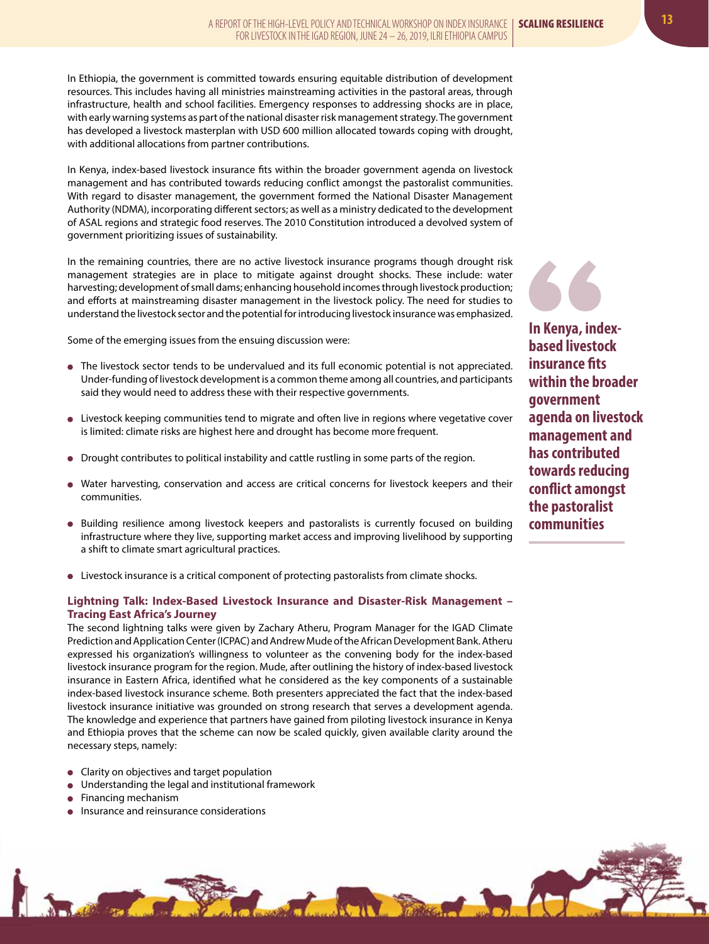In Ethiopia, the government is committed towards ensuring equitable distribution of development resources. This includes having all ministries mainstreaming activities in the pastoral areas, through infrastructure, health and school facilities. Emergency responses to addressing shocks are in place, with early warning systems as part of the national disaster risk management strategy. The government has developed a livestock masterplan with USD 600 million allocated towards coping with drought, with additional allocations from partner contributions.

In Kenya, index-based livestock insurance fits within the broader government agenda on livestock management and has contributed towards reducing conflict amongst the pastoralist communities. With regard to disaster management, the government formed the National Disaster Management Authority (NDMA), incorporating different sectors; as well as a ministry dedicated to the development of ASAL regions and strategic food reserves. The 2010 Constitution introduced a devolved system of government prioritizing issues of sustainability.

In the remaining countries, there are no active livestock insurance programs though drought risk management strategies are in place to mitigate against drought shocks. These include: water harvesting; development of small dams; enhancing household incomes through livestock production; and efforts at mainstreaming disaster management in the livestock policy. The need for studies to understand the livestock sector and the potential for introducing livestock insurance was emphasized.

Some of the emerging issues from the ensuing discussion were:

- The livestock sector tends to be undervalued and its full economic potential is not appreciated. Under-funding of livestock development is a common theme among all countries, and participants said they would need to address these with their respective governments.
- Livestock keeping communities tend to migrate and often live in regions where vegetative cover is limited: climate risks are highest here and drought has become more frequent.
- Drought contributes to political instability and cattle rustling in some parts of the region.
- Water harvesting, conservation and access are critical concerns for livestock keepers and their communities.
- Building resilience among livestock keepers and pastoralists is currently focused on building infrastructure where they live, supporting market access and improving livelihood by supporting a shift to climate smart agricultural practices.
- Livestock insurance is a critical component of protecting pastoralists from climate shocks.

## **Lightning Talk: Index-Based Livestock Insurance and Disaster-Risk Management – Tracing East Africa's Journey**

The second lightning talks were given by Zachary Atheru, Program Manager for the IGAD Climate Prediction and Application Center (ICPAC) and Andrew Mude of the African Development Bank. Atheru expressed his organization's willingness to volunteer as the convening body for the index-based livestock insurance program for the region. Mude, after outlining the history of index-based livestock insurance in Eastern Africa, identified what he considered as the key components of a sustainable index-based livestock insurance scheme. Both presenters appreciated the fact that the index-based livestock insurance initiative was grounded on strong research that serves a development agenda. The knowledge and experience that partners have gained from piloting livestock insurance in Kenya and Ethiopia proves that the scheme can now be scaled quickly, given available clarity around the necessary steps, namely:

The Manual Property of the County of the County of the County of the County of the County of the County of the

- Clarity on objectives and target population
- Understanding the legal and institutional framework
- **•** Financing mechanism
- **•** Insurance and reinsurance considerations

**In Kenya, indexbased livestock insurance fits within the broader government agenda on livestock management and has contributed towards reducing conflict amongst the pastoralist communities**

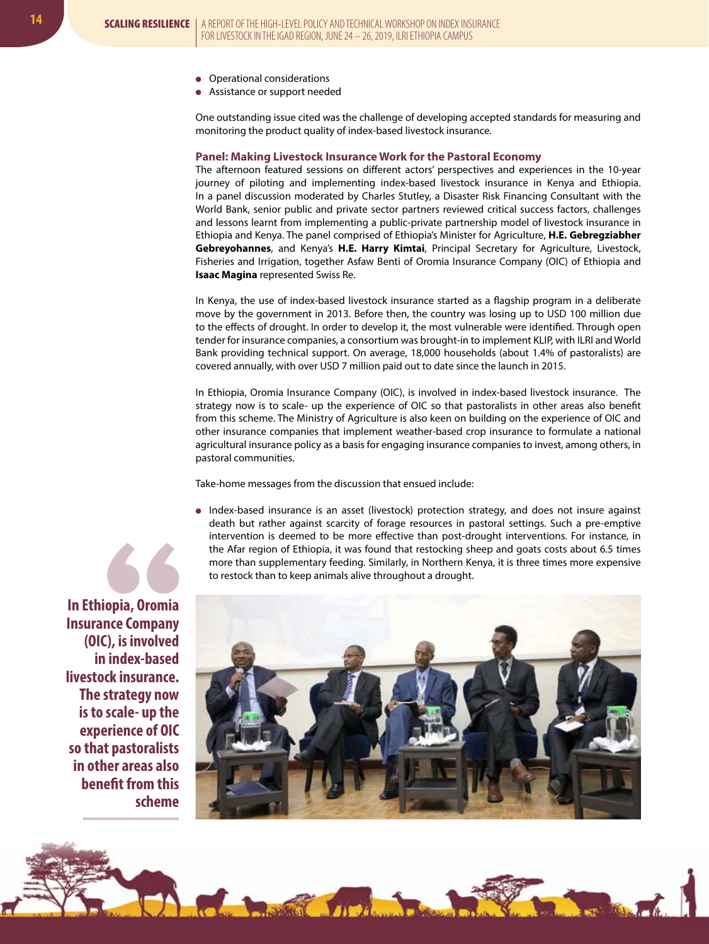- Operational considerations
- Assistance or support needed

One outstanding issue cited was the challenge of developing accepted standards for measuring and monitoring the product quality of index-based livestock insurance.

#### **Panel: Making Livestock Insurance Work for the Pastoral Economy**

The afternoon featured sessions on different actors' perspectives and experiences in the 10-year journey of piloting and implementing index-based livestock insurance in Kenya and Ethiopia. In a panel discussion moderated by Charles Stutley, a Disaster Risk Financing Consultant with the World Bank, senior public and private sector partners reviewed critical success factors, challenges and lessons learnt from implementing a public-private partnership model of livestock insurance in Ethiopia and Kenya. The panel comprised of Ethiopia's Minister for Agriculture, **H.E. Gebregziabher Gebreyohannes**, and Kenya's **H.E. Harry Kimtai**, Principal Secretary for Agriculture, Livestock, Fisheries and Irrigation, together Asfaw Benti of Oromia Insurance Company (OIC) of Ethiopia and **Isaac Magina** represented Swiss Re.

In Kenya, the use of index-based livestock insurance started as a flagship program in a deliberate move by the government in 2013. Before then, the country was losing up to USD 100 million due to the effects of drought. In order to develop it, the most vulnerable were identified. Through open tender for insurance companies, a consortium was brought-in to implement KLIP, with ILRI and World Bank providing technical support. On average, 18,000 households (about 1.4% of pastoralists) are covered annually, with over USD 7 million paid out to date since the launch in 2015.

In Ethiopia, Oromia Insurance Company (OIC), is involved in index-based livestock insurance. The strategy now is to scale- up the experience of OIC so that pastoralists in other areas also benefit from this scheme. The Ministry of Agriculture is also keen on building on the experience of OIC and other insurance companies that implement weather-based crop insurance to formulate a national agricultural insurance policy as a basis for engaging insurance companies to invest, among others, in pastoral communities.

Take-home messages from the discussion that ensued include:

Index-based insurance is an asset (livestock) protection strategy, and does not insure against death but rather against scarcity of forage resources in pastoral settings. Such a pre-emptive intervention is deemed to be more effective than post-drought interventions. For instance, in the Afar region of Ethiopia, it was found that restocking sheep and goats costs about 6.5 times more than supplementary feeding. Similarly, in Northern Kenya, it is three times more expensive to restock than to keep animals alive throughout a drought.

**In Ethiopia, Oromia Insurance Company (OIC), is involved in index-based livestock insurance. The strategy now is to scale- up the experience of OIC so that pastoralists in other areas also benefit from this scheme**



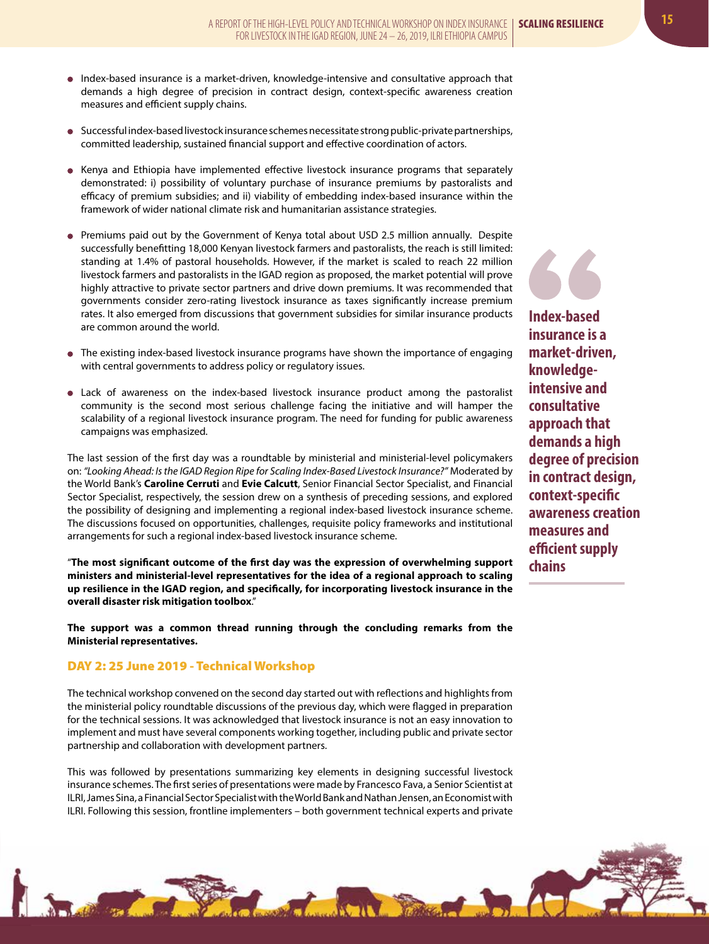- Index-based insurance is a market-driven, knowledge-intensive and consultative approach that demands a high degree of precision in contract design, context-specific awareness creation measures and efficient supply chains.
- Successful index-based livestock insurance schemes necessitate strong public-private partnerships, committed leadership, sustained financial support and effective coordination of actors.
- Kenya and Ethiopia have implemented effective livestock insurance programs that separately demonstrated: i) possibility of voluntary purchase of insurance premiums by pastoralists and efficacy of premium subsidies; and ii) viability of embedding index-based insurance within the framework of wider national climate risk and humanitarian assistance strategies.
- Premiums paid out by the Government of Kenya total about USD 2.5 million annually. Despite successfully benefitting 18,000 Kenyan livestock farmers and pastoralists, the reach is still limited: standing at 1.4% of pastoral households. However, if the market is scaled to reach 22 million livestock farmers and pastoralists in the IGAD region as proposed, the market potential will prove highly attractive to private sector partners and drive down premiums. It was recommended that governments consider zero-rating livestock insurance as taxes significantly increase premium rates. It also emerged from discussions that government subsidies for similar insurance products are common around the world.
- The existing index-based livestock insurance programs have shown the importance of engaging with central governments to address policy or regulatory issues.
- Lack of awareness on the index-based livestock insurance product among the pastoralist community is the second most serious challenge facing the initiative and will hamper the scalability of a regional livestock insurance program. The need for funding for public awareness campaigns was emphasized.

The last session of the first day was a roundtable by ministerial and ministerial-level policymakers on: *"Looking Ahead: Is the IGAD Region Ripe for Scaling Index-Based Livestock Insurance?"* Moderated by the World Bank's **Caroline Cerruti** and **Evie Calcutt**, Senior Financial Sector Specialist, and Financial Sector Specialist, respectively, the session drew on a synthesis of preceding sessions, and explored the possibility of designing and implementing a regional index-based livestock insurance scheme. The discussions focused on opportunities, challenges, requisite policy frameworks and institutional arrangements for such a regional index-based livestock insurance scheme.

"**The most significant outcome of the first day was the expression of overwhelming support ministers and ministerial-level representatives for the idea of a regional approach to scaling up resilience in the IGAD region, and specifically, for incorporating livestock insurance in the overall disaster risk mitigation toolbox**."

**The support was a common thread running through the concluding remarks from the Ministerial representatives.**

# DAY 2: 25 June 2019 - Technical Workshop

The technical workshop convened on the second day started out with reflections and highlights from the ministerial policy roundtable discussions of the previous day, which were flagged in preparation for the technical sessions. It was acknowledged that livestock insurance is not an easy innovation to implement and must have several components working together, including public and private sector partnership and collaboration with development partners.

This was followed by presentations summarizing key elements in designing successful livestock insurance schemes. The first series of presentations were made by Francesco Fava, a Senior Scientist at ILRI, James Sina, a Financial Sector Specialist with the World Bank and Nathan Jensen, an Economist with ILRI. Following this session, frontline implementers – both government technical experts and private **Index-based insurance is a market-driven, knowledgeintensive and consultative approach that demands a high degree of precision in contract design, context-specific awareness creation measures and efficient supply chains**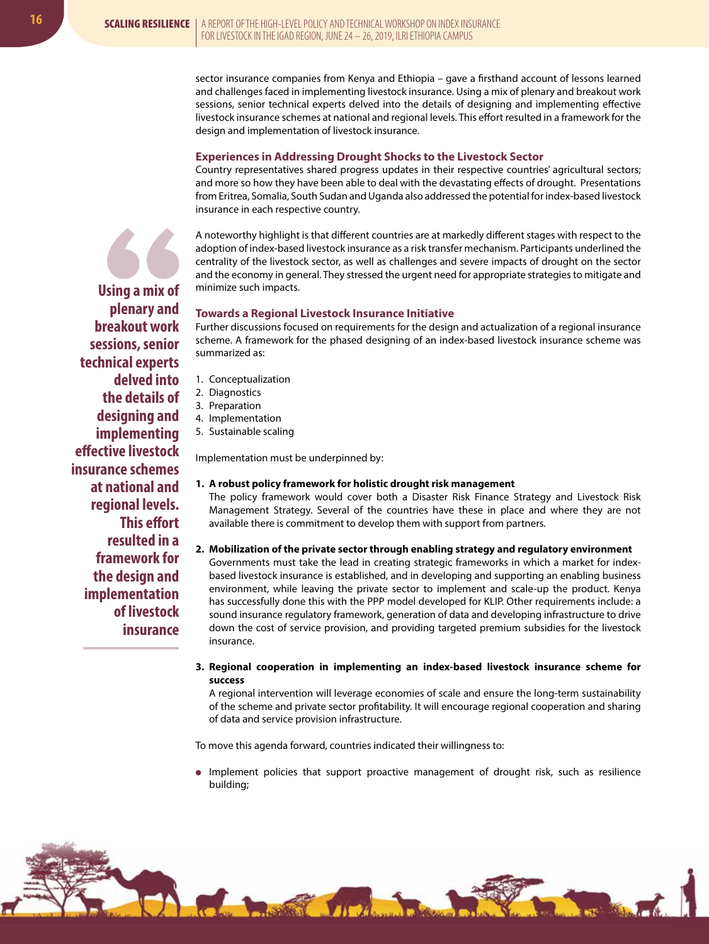sector insurance companies from Kenya and Ethiopia – gave a firsthand account of lessons learned and challenges faced in implementing livestock insurance. Using a mix of plenary and breakout work sessions, senior technical experts delved into the details of designing and implementing effective livestock insurance schemes at national and regional levels. This effort resulted in a framework for the design and implementation of livestock insurance.

## **Experiences in Addressing Drought Shocks to the Livestock Sector**

Country representatives shared progress updates in their respective countries' agricultural sectors; and more so how they have been able to deal with the devastating effects of drought. Presentations from Eritrea, Somalia, South Sudan and Uganda also addressed the potential for index-based livestock insurance in each respective country.

A noteworthy highlight is that different countries are at markedly different stages with respect to the adoption of index-based livestock insurance as a risk transfer mechanism. Participants underlined the centrality of the livestock sector, as well as challenges and severe impacts of drought on the sector and the economy in general. They stressed the urgent need for appropriate strategies to mitigate and minimize such impacts.

## **Towards a Regional Livestock Insurance Initiative**

Further discussions focused on requirements for the design and actualization of a regional insurance scheme. A framework for the phased designing of an index-based livestock insurance scheme was summarized as:

- 1. Conceptualization
- 2. Diagnostics
- 3. Preparation
- 4. Implementation
- 5. Sustainable scaling

Implementation must be underpinned by:

**1. A robust policy framework for holistic drought risk management**

The policy framework would cover both a Disaster Risk Finance Strategy and Livestock Risk Management Strategy. Several of the countries have these in place and where they are not available there is commitment to develop them with support from partners.

# **2. Mobilization of the private sector through enabling strategy and regulatory environment**

Governments must take the lead in creating strategic frameworks in which a market for indexbased livestock insurance is established, and in developing and supporting an enabling business environment, while leaving the private sector to implement and scale-up the product. Kenya has successfully done this with the PPP model developed for KLIP. Other requirements include: a sound insurance regulatory framework, generation of data and developing infrastructure to drive down the cost of service provision, and providing targeted premium subsidies for the livestock insurance.

## **3. Regional cooperation in implementing an index-based livestock insurance scheme for success**

A regional intervention will leverage economies of scale and ensure the long-term sustainability of the scheme and private sector profitability. It will encourage regional cooperation and sharing of data and service provision infrastructure.

To move this agenda forward, countries indicated their willingness to:

Implement policies that support proactive management of drought risk, such as resilience building;



**Using a mix of plenary and breakout work sessions, senior technical experts delved into the details of designing and implementing effective livestock insurance schemes at national and regional levels. This effort resulted in a framework for the design and implementation of livestock insurance**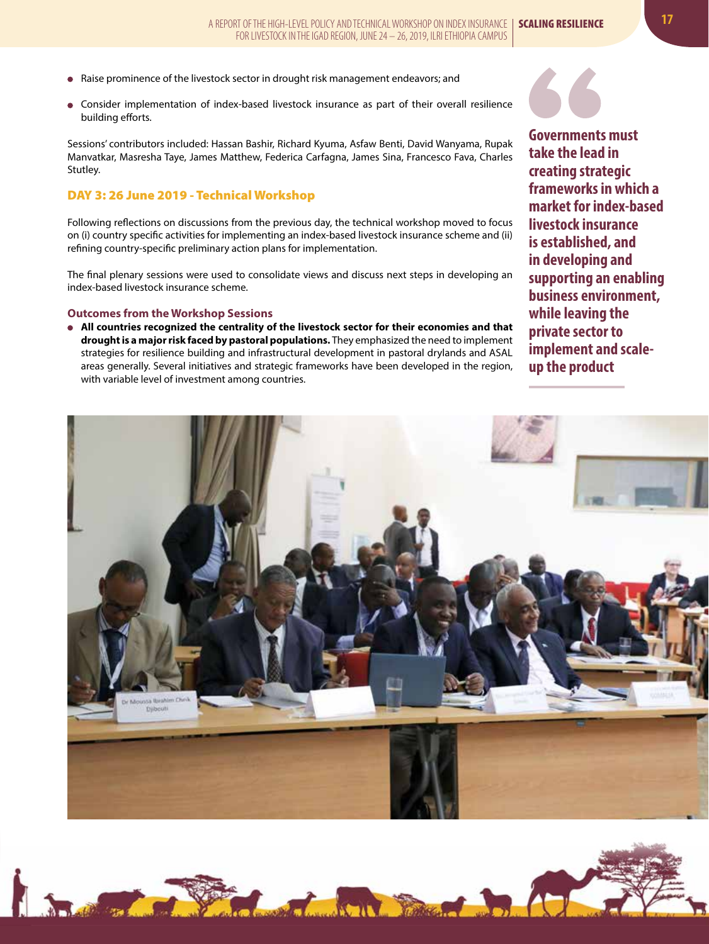- Raise prominence of the livestock sector in drought risk management endeavors; and
- Consider implementation of index-based livestock insurance as part of their overall resilience building efforts.

Sessions' contributors included: Hassan Bashir, Richard Kyuma, Asfaw Benti, David Wanyama, Rupak Manvatkar, Masresha Taye, James Matthew, Federica Carfagna, James Sina, Francesco Fava, Charles Stutley.

# DAY 3: 26 June 2019 - Technical Workshop

Following reflections on discussions from the previous day, the technical workshop moved to focus on (i) country specific activities for implementing an index-based livestock insurance scheme and (ii) refining country-specific preliminary action plans for implementation.

The final plenary sessions were used to consolidate views and discuss next steps in developing an index-based livestock insurance scheme.

#### **Outcomes from the Workshop Sessions**

**All countries recognized the centrality of the livestock sector for their economies and that drought is a major risk faced by pastoral populations.** They emphasized the need to implement strategies for resilience building and infrastructural development in pastoral drylands and ASAL areas generally. Several initiatives and strategic frameworks have been developed in the region, with variable level of investment among countries.

**Governments must take the lead in creating strategic frameworks in which a market for index-based livestock insurance is established, and in developing and supporting an enabling business environment, while leaving the private sector to implement and scaleup the product**



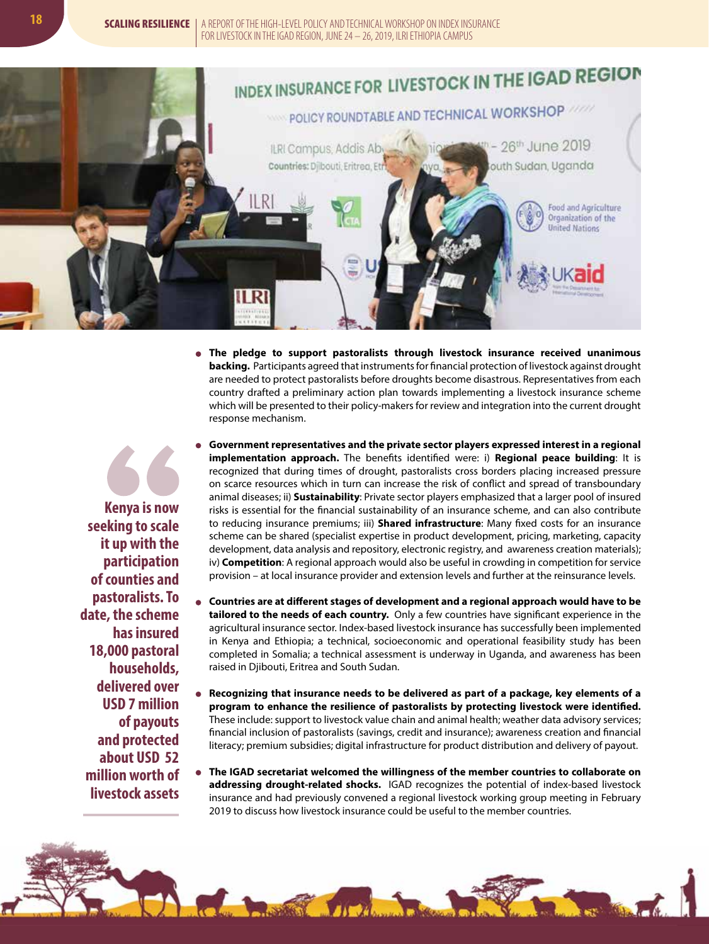

**The pledge to support pastoralists through livestock insurance received unanimous backing.** Participants agreed that instruments for financial protection of livestock against drought are needed to protect pastoralists before droughts become disastrous. Representatives from each country drafted a preliminary action plan towards implementing a livestock insurance scheme which will be presented to their policy-makers for review and integration into the current drought response mechanism.



**Kenya is now seeking to scale it up with the participation of counties and pastoralists. To date, the scheme has insured 18,000 pastoral households, delivered over USD 7 million of payouts and protected about USD 52 million worth of livestock assets**

- **Government representatives and the private sector players expressed interest in a regional implementation approach.** The benefits identified were: i) **Regional peace building**: It is recognized that during times of drought, pastoralists cross borders placing increased pressure on scarce resources which in turn can increase the risk of conflict and spread of transboundary animal diseases; ii) **Sustainability**: Private sector players emphasized that a larger pool of insured risks is essential for the financial sustainability of an insurance scheme, and can also contribute to reducing insurance premiums; iii) **Shared infrastructure**: Many fixed costs for an insurance scheme can be shared (specialist expertise in product development, pricing, marketing, capacity development, data analysis and repository, electronic registry, and awareness creation materials); iv) **Competition**: A regional approach would also be useful in crowding in competition for service provision – at local insurance provider and extension levels and further at the reinsurance levels.
- **Countries are at different stages of development and a regional approach would have to be tailored to the needs of each country.** Only a few countries have significant experience in the agricultural insurance sector. Index-based livestock insurance has successfully been implemented in Kenya and Ethiopia; a technical, socioeconomic and operational feasibility study has been completed in Somalia; a technical assessment is underway in Uganda, and awareness has been raised in Djibouti, Eritrea and South Sudan.
- **Recognizing that insurance needs to be delivered as part of a package, key elements of a program to enhance the resilience of pastoralists by protecting livestock were identified.** These include: support to livestock value chain and animal health; weather data advisory services; financial inclusion of pastoralists (savings, credit and insurance); awareness creation and financial literacy; premium subsidies; digital infrastructure for product distribution and delivery of payout.
- **The IGAD secretariat welcomed the willingness of the member countries to collaborate on addressing drought-related shocks.** IGAD recognizes the potential of index-based livestock insurance and had previously convened a regional livestock working group meeting in February 2019 to discuss how livestock insurance could be useful to the member countries.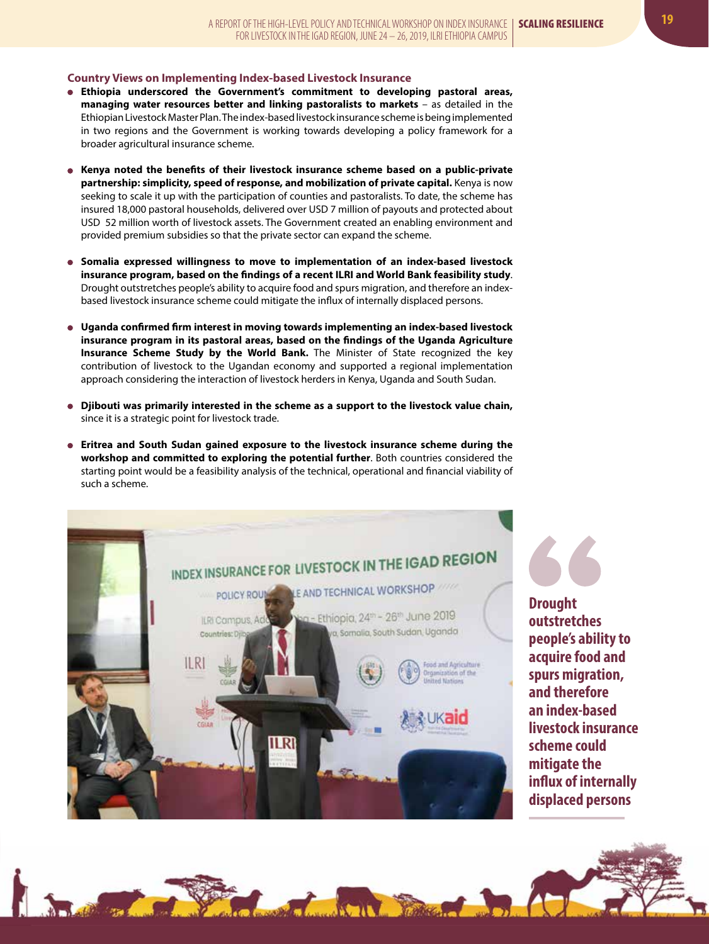#### **Country Views on Implementing Index-based Livestock Insurance**

- **Ethiopia underscored the Government's commitment to developing pastoral areas, managing water resources better and linking pastoralists to markets** – as detailed in the Ethiopian Livestock Master Plan. The index-based livestock insurance scheme is being implemented in two regions and the Government is working towards developing a policy framework for a broader agricultural insurance scheme.
- **Kenya noted the benefits of their livestock insurance scheme based on a public-private partnership: simplicity, speed of response, and mobilization of private capital.** Kenya is now seeking to scale it up with the participation of counties and pastoralists. To date, the scheme has insured 18,000 pastoral households, delivered over USD 7 million of payouts and protected about USD 52 million worth of livestock assets. The Government created an enabling environment and provided premium subsidies so that the private sector can expand the scheme.
- **Somalia expressed willingness to move to implementation of an index-based livestock insurance program, based on the findings of a recent ILRI and World Bank feasibility study**. Drought outstretches people's ability to acquire food and spurs migration, and therefore an indexbased livestock insurance scheme could mitigate the influx of internally displaced persons.
- **Uganda confirmed firm interest in moving towards implementing an index-based livestock insurance program in its pastoral areas, based on the findings of the Uganda Agriculture Insurance Scheme Study by the World Bank.** The Minister of State recognized the key contribution of livestock to the Ugandan economy and supported a regional implementation approach considering the interaction of livestock herders in Kenya, Uganda and South Sudan.
- **Djibouti was primarily interested in the scheme as a support to the livestock value chain,** since it is a strategic point for livestock trade.
- **Eritrea and South Sudan gained exposure to the livestock insurance scheme during the workshop and committed to exploring the potential further**. Both countries considered the starting point would be a feasibility analysis of the technical, operational and financial viability of such a scheme.



**Drought outstretches people's ability to acquire food and spurs migration, and therefore an index-based livestock insurance scheme could mitigate the influx of internally displaced persons**

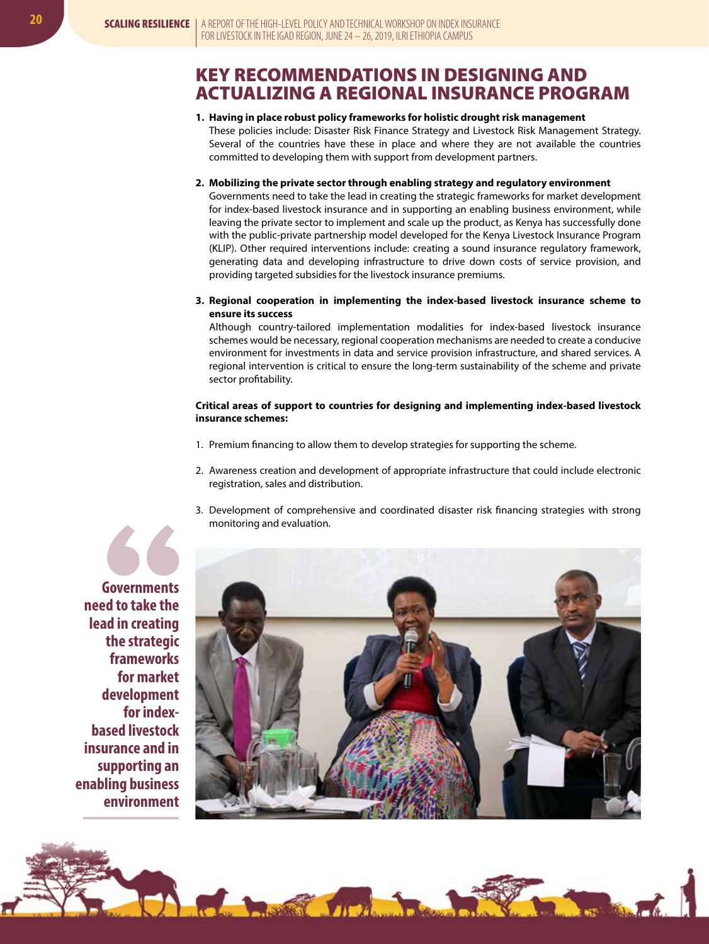# KEY RECOMMENDATIONS IN DESIGNING AND ACTUALIZING A REGIONAL INSURANCE PROGRAM

**1. Having in place robust policy frameworks for holistic drought risk management** These policies include: Disaster Risk Finance Strategy and Livestock Risk Management Strategy. Several of the countries have these in place and where they are not available the countries committed to developing them with support from development partners.

#### **2. Mobilizing the private sector through enabling strategy and regulatory environment**

Governments need to take the lead in creating the strategic frameworks for market development for index-based livestock insurance and in supporting an enabling business environment, while leaving the private sector to implement and scale up the product, as Kenya has successfully done with the public-private partnership model developed for the Kenya Livestock Insurance Program (KLIP). Other required interventions include: creating a sound insurance regulatory framework, generating data and developing infrastructure to drive down costs of service provision, and providing targeted subsidies for the livestock insurance premiums.

**3. Regional cooperation in implementing the index-based livestock insurance scheme to ensure its success** 

Although country-tailored implementation modalities for index-based livestock insurance schemes would be necessary, regional cooperation mechanisms are needed to create a conducive environment for investments in data and service provision infrastructure, and shared services. A regional intervention is critical to ensure the long-term sustainability of the scheme and private sector profitability.

#### **Critical areas of support to countries for designing and implementing index-based livestock insurance schemes:**

- 1. Premium financing to allow them to develop strategies for supporting the scheme.
- 2. Awareness creation and development of appropriate infrastructure that could include electronic registration, sales and distribution.
- 3. Development of comprehensive and coordinated disaster risk financing strategies with strong monitoring and evaluation.





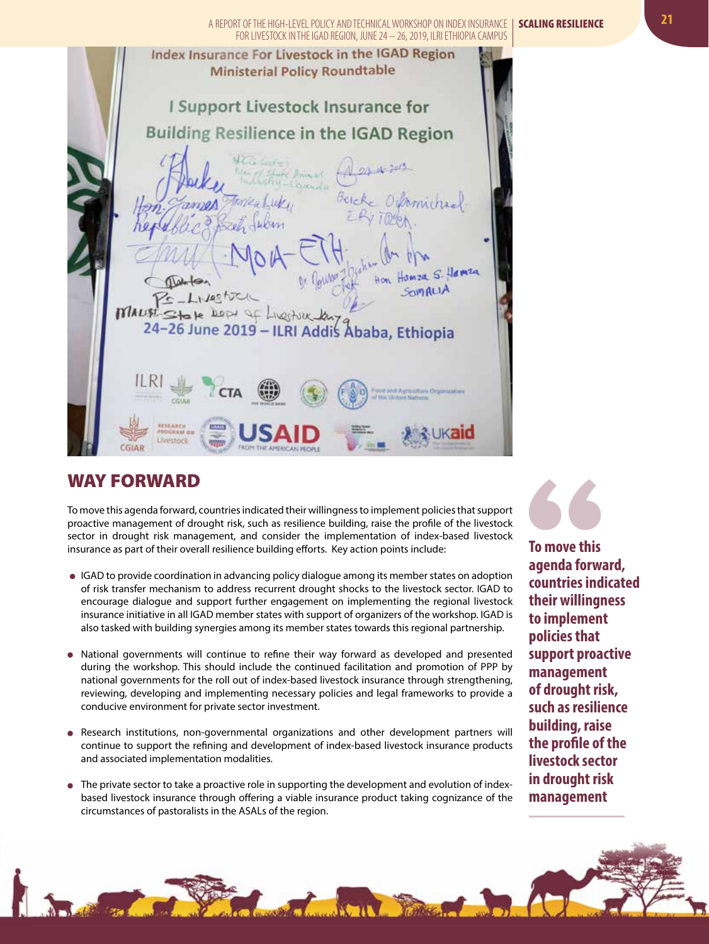

# WAY FORWARD

To move this agenda forward, countries indicated their willingness to implement policies that support proactive management of drought risk, such as resilience building, raise the profile of the livestock sector in drought risk management, and consider the implementation of index-based livestock insurance as part of their overall resilience building efforts. Key action points include:

- IGAD to provide coordination in advancing policy dialogue among its member states on adoption of risk transfer mechanism to address recurrent drought shocks to the livestock sector. IGAD to encourage dialogue and support further engagement on implementing the regional livestock insurance initiative in all IGAD member states with support of organizers of the workshop. IGAD is also tasked with building synergies among its member states towards this regional partnership.
- National governments will continue to refine their way forward as developed and presented during the workshop. This should include the continued facilitation and promotion of PPP by national governments for the roll out of index-based livestock insurance through strengthening, reviewing, developing and implementing necessary policies and legal frameworks to provide a conducive environment for private sector investment.
- Research institutions, non-governmental organizations and other development partners will continue to support the refining and development of index-based livestock insurance products and associated implementation modalities.
- The private sector to take a proactive role in supporting the development and evolution of indexbased livestock insurance through offering a viable insurance product taking cognizance of the circumstances of pastoralists in the ASALs of the region.

**NOIL** 

**To move this agenda forward, countries indicated their willingness to implement policies that support proactive management of drought risk, such as resilience building, raise the profile of the livestock sector in drought risk management**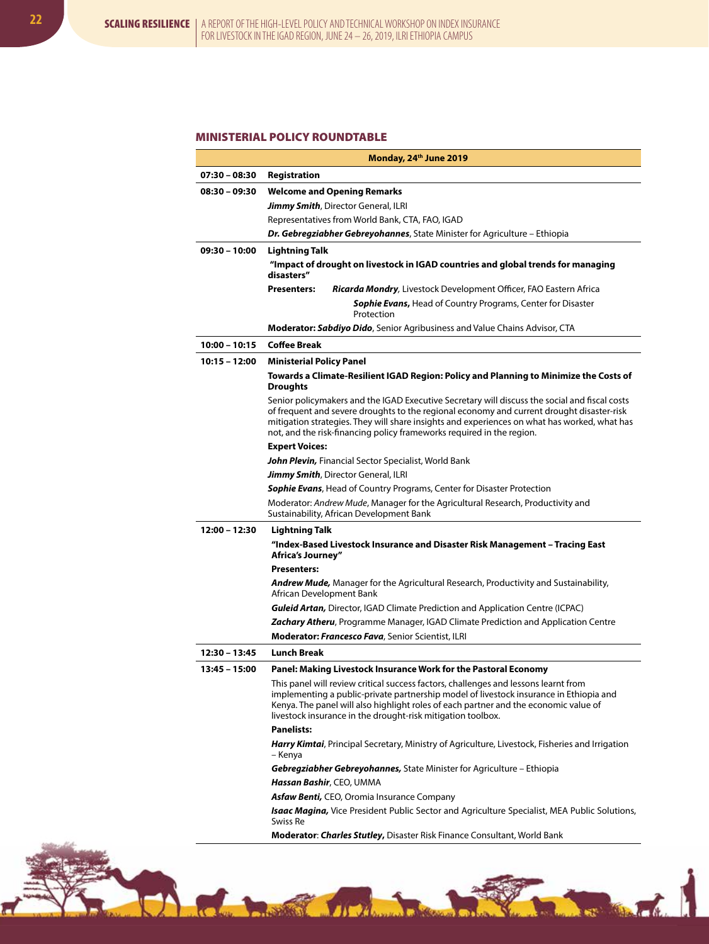# MINISTERIAL POLICY ROUNDTABLE

| Monday, 24th June 2019                                                     |                                                                                                                                                                                                                                                                                                                                                                     |  |  |
|----------------------------------------------------------------------------|---------------------------------------------------------------------------------------------------------------------------------------------------------------------------------------------------------------------------------------------------------------------------------------------------------------------------------------------------------------------|--|--|
| Registration<br>07:30 - 08:30                                              |                                                                                                                                                                                                                                                                                                                                                                     |  |  |
| $08:30 - 09:30$                                                            | <b>Welcome and Opening Remarks</b>                                                                                                                                                                                                                                                                                                                                  |  |  |
|                                                                            | Jimmy Smith, Director General, ILRI                                                                                                                                                                                                                                                                                                                                 |  |  |
|                                                                            | Representatives from World Bank, CTA, FAO, IGAD                                                                                                                                                                                                                                                                                                                     |  |  |
|                                                                            | Dr. Gebregziabher Gebreyohannes, State Minister for Agriculture - Ethiopia                                                                                                                                                                                                                                                                                          |  |  |
| $09:30 - 10:00$                                                            | Lightning Talk                                                                                                                                                                                                                                                                                                                                                      |  |  |
|                                                                            | "Impact of drought on livestock in IGAD countries and global trends for managing<br>disasters"                                                                                                                                                                                                                                                                      |  |  |
|                                                                            | <b>Presenters:</b><br>Ricarda Mondry, Livestock Development Officer, FAO Eastern Africa                                                                                                                                                                                                                                                                             |  |  |
|                                                                            | Sophie Evans, Head of Country Programs, Center for Disaster<br>Protection                                                                                                                                                                                                                                                                                           |  |  |
| Moderator: Sabdiyo Dido, Senior Agribusiness and Value Chains Advisor, CTA |                                                                                                                                                                                                                                                                                                                                                                     |  |  |
| 10:00 - 10:15                                                              | <b>Coffee Break</b>                                                                                                                                                                                                                                                                                                                                                 |  |  |
| 10:15 - 12:00                                                              | <b>Ministerial Policy Panel</b>                                                                                                                                                                                                                                                                                                                                     |  |  |
|                                                                            | Towards a Climate-Resilient IGAD Region: Policy and Planning to Minimize the Costs of<br><b>Droughts</b>                                                                                                                                                                                                                                                            |  |  |
|                                                                            | Senior policymakers and the IGAD Executive Secretary will discuss the social and fiscal costs<br>of frequent and severe droughts to the regional economy and current drought disaster-risk<br>mitigation strategies. They will share insights and experiences on what has worked, what has<br>not, and the risk-financing policy frameworks required in the region. |  |  |
|                                                                            | <b>Expert Voices:</b>                                                                                                                                                                                                                                                                                                                                               |  |  |
|                                                                            | <b>John Plevin,</b> Financial Sector Specialist, World Bank                                                                                                                                                                                                                                                                                                         |  |  |
|                                                                            | <b>Jimmy Smith</b> , Director General, ILRI                                                                                                                                                                                                                                                                                                                         |  |  |
|                                                                            | <b>Sophie Evans, Head of Country Programs, Center for Disaster Protection</b>                                                                                                                                                                                                                                                                                       |  |  |
|                                                                            | Moderator: Andrew Mude, Manager for the Agricultural Research, Productivity and<br>Sustainability, African Development Bank                                                                                                                                                                                                                                         |  |  |
| 12:00 - 12:30                                                              | Lightning Talk                                                                                                                                                                                                                                                                                                                                                      |  |  |
|                                                                            | "Index-Based Livestock Insurance and Disaster Risk Management - Tracing East<br>Africa's Journey"                                                                                                                                                                                                                                                                   |  |  |
|                                                                            | <b>Presenters:</b>                                                                                                                                                                                                                                                                                                                                                  |  |  |
|                                                                            | Andrew Mude, Manager for the Agricultural Research, Productivity and Sustainability,<br>African Development Bank                                                                                                                                                                                                                                                    |  |  |
|                                                                            | <b>Guleid Artan, Director, IGAD Climate Prediction and Application Centre (ICPAC)</b>                                                                                                                                                                                                                                                                               |  |  |
|                                                                            | <b>Zachary Atheru, Programme Manager, IGAD Climate Prediction and Application Centre</b>                                                                                                                                                                                                                                                                            |  |  |
|                                                                            | Moderator: Francesco Fava, Senior Scientist, ILRI                                                                                                                                                                                                                                                                                                                   |  |  |
| 12:30 - 13:45                                                              | <b>Lunch Break</b>                                                                                                                                                                                                                                                                                                                                                  |  |  |
| 13:45 - 15:00                                                              | Panel: Making Livestock Insurance Work for the Pastoral Economy                                                                                                                                                                                                                                                                                                     |  |  |
|                                                                            | This panel will review critical success factors, challenges and lessons learnt from<br>implementing a public-private partnership model of livestock insurance in Ethiopia and<br>Kenya. The panel will also highlight roles of each partner and the economic value of<br>livestock insurance in the drought-risk mitigation toolbox.                                |  |  |
|                                                                            | <b>Panelists:</b>                                                                                                                                                                                                                                                                                                                                                   |  |  |
|                                                                            | <b>Harry Kimtai</b> , Principal Secretary, Ministry of Agriculture, Livestock, Fisheries and Irrigation<br>– Kenya                                                                                                                                                                                                                                                  |  |  |
|                                                                            | Gebregziabher Gebreyohannes, State Minister for Agriculture – Ethiopia                                                                                                                                                                                                                                                                                              |  |  |
|                                                                            | Hassan Bashir, CEO, UMMA                                                                                                                                                                                                                                                                                                                                            |  |  |
|                                                                            | Asfaw Benti, CEO, Oromia Insurance Company                                                                                                                                                                                                                                                                                                                          |  |  |
|                                                                            | <b>Isaac Magina,</b> Vice President Public Sector and Agriculture Specialist, MEA Public Solutions,<br>Swiss Re                                                                                                                                                                                                                                                     |  |  |
|                                                                            | Moderator: Charles Stutley, Disaster Risk Finance Consultant, World Bank                                                                                                                                                                                                                                                                                            |  |  |

Louis Company

**ANTICOLOGICA**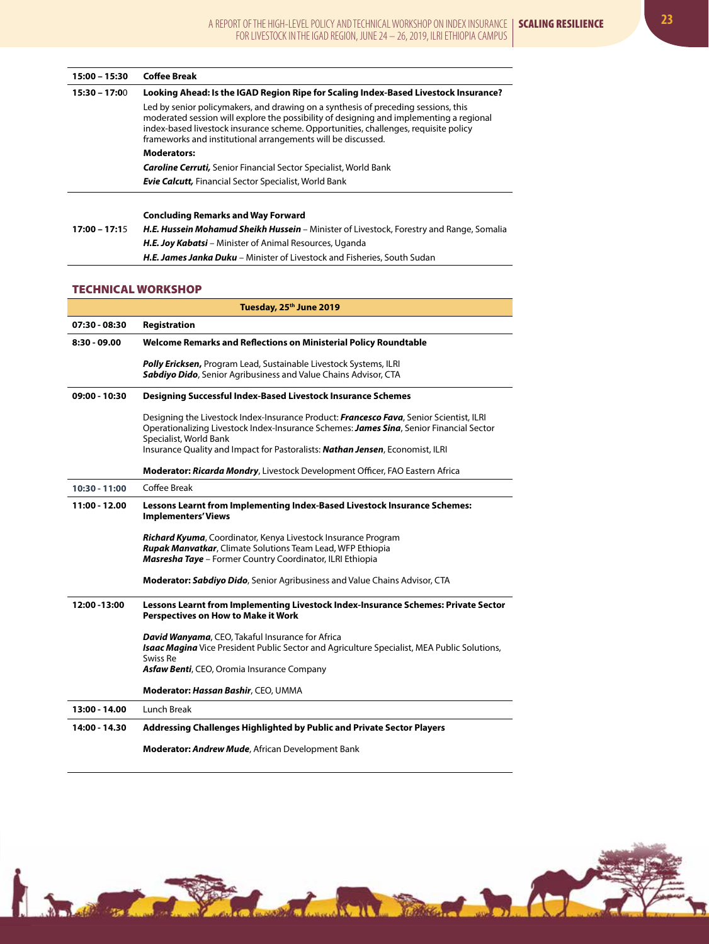| <b>Coffee Break</b><br>15:00 - 15:30 |                                                                                                                                                                                                                                                                                                                                      |  |
|--------------------------------------|--------------------------------------------------------------------------------------------------------------------------------------------------------------------------------------------------------------------------------------------------------------------------------------------------------------------------------------|--|
| $15:30 - 17:00$                      | Looking Ahead: Is the IGAD Region Ripe for Scaling Index-Based Livestock Insurance?                                                                                                                                                                                                                                                  |  |
|                                      | Led by senior policymakers, and drawing on a synthesis of preceding sessions, this<br>moderated session will explore the possibility of designing and implementing a regional<br>index-based livestock insurance scheme. Opportunities, challenges, requisite policy<br>frameworks and institutional arrangements will be discussed. |  |
|                                      | <b>Moderators:</b>                                                                                                                                                                                                                                                                                                                   |  |
|                                      | <b>Caroline Cerruti,</b> Senior Financial Sector Specialist, World Bank                                                                                                                                                                                                                                                              |  |
|                                      | <b>Evie Calcutt, Financial Sector Specialist, World Bank</b>                                                                                                                                                                                                                                                                         |  |

**Concluding Remarks and Way Forward**

**17:00 – 17:1**5 *H.E. Hussein Mohamud Sheikh Hussein* – Minister of Livestock, Forestry and Range, Somalia *H.E. Joy Kabatsi* – Minister of Animal Resources, Uganda *H.E. James Janka Duku* – Minister of Livestock and Fisheries, South Sudan

## TECHNICAL WORKSHOP

| Tuesday, 25 <sup>th</sup> June 2019                                                                                                               |                                                                                                                                                                                                                                                                                               |  |  |
|---------------------------------------------------------------------------------------------------------------------------------------------------|-----------------------------------------------------------------------------------------------------------------------------------------------------------------------------------------------------------------------------------------------------------------------------------------------|--|--|
| $07:30 - 08:30$                                                                                                                                   | Registration                                                                                                                                                                                                                                                                                  |  |  |
| $8:30 - 09.00$                                                                                                                                    | Welcome Remarks and Reflections on Ministerial Policy Roundtable                                                                                                                                                                                                                              |  |  |
|                                                                                                                                                   | <b>Polly Ericksen, Program Lead, Sustainable Livestock Systems, ILRI</b><br><b>Sabdiyo Dido</b> , Senior Agribusiness and Value Chains Advisor, CTA                                                                                                                                           |  |  |
| 09:00 - 10:30                                                                                                                                     | Designing Successful Index-Based Livestock Insurance Schemes                                                                                                                                                                                                                                  |  |  |
|                                                                                                                                                   | Designing the Livestock Index-Insurance Product: Francesco Fava, Senior Scientist, ILRI<br>Operationalizing Livestock Index-Insurance Schemes: James Sina, Senior Financial Sector<br>Specialist, World Bank<br>Insurance Quality and Impact for Pastoralists: Nathan Jensen, Economist, ILRI |  |  |
|                                                                                                                                                   | Moderator: Ricarda Mondry, Livestock Development Officer, FAO Eastern Africa                                                                                                                                                                                                                  |  |  |
| $10:30 - 11:00$                                                                                                                                   | Coffee Break                                                                                                                                                                                                                                                                                  |  |  |
| 11:00 - 12.00                                                                                                                                     | Lessons Learnt from Implementing Index-Based Livestock Insurance Schemes:<br><b>Implementers' Views</b>                                                                                                                                                                                       |  |  |
|                                                                                                                                                   | Richard Kyuma, Coordinator, Kenya Livestock Insurance Program<br>Rupak Manvatkar, Climate Solutions Team Lead, WFP Ethiopia<br>Masresha Taye - Former Country Coordinator, ILRI Ethiopia<br>Moderator: Sabdiyo Dido, Senior Agribusiness and Value Chains Advisor, CTA                        |  |  |
| 12:00 - 13:00<br>Lessons Learnt from Implementing Livestock Index-Insurance Schemes: Private Sector<br><b>Perspectives on How to Make it Work</b> |                                                                                                                                                                                                                                                                                               |  |  |
|                                                                                                                                                   | <b>David Wanyama, CEO, Takaful Insurance for Africa</b><br><b>Isaac Magina</b> Vice President Public Sector and Agriculture Specialist, MEA Public Solutions,<br>Swiss Re<br>Asfaw Benti, CEO, Oromia Insurance Company                                                                       |  |  |
|                                                                                                                                                   | Moderator: Hassan Bashir, CEO, UMMA                                                                                                                                                                                                                                                           |  |  |
| 13:00 - 14.00                                                                                                                                     | Lunch Break                                                                                                                                                                                                                                                                                   |  |  |
| 14:00 - 14.30                                                                                                                                     | Addressing Challenges Highlighted by Public and Private Sector Players                                                                                                                                                                                                                        |  |  |
|                                                                                                                                                   | <b>Moderator: Andrew Mude, African Development Bank</b>                                                                                                                                                                                                                                       |  |  |

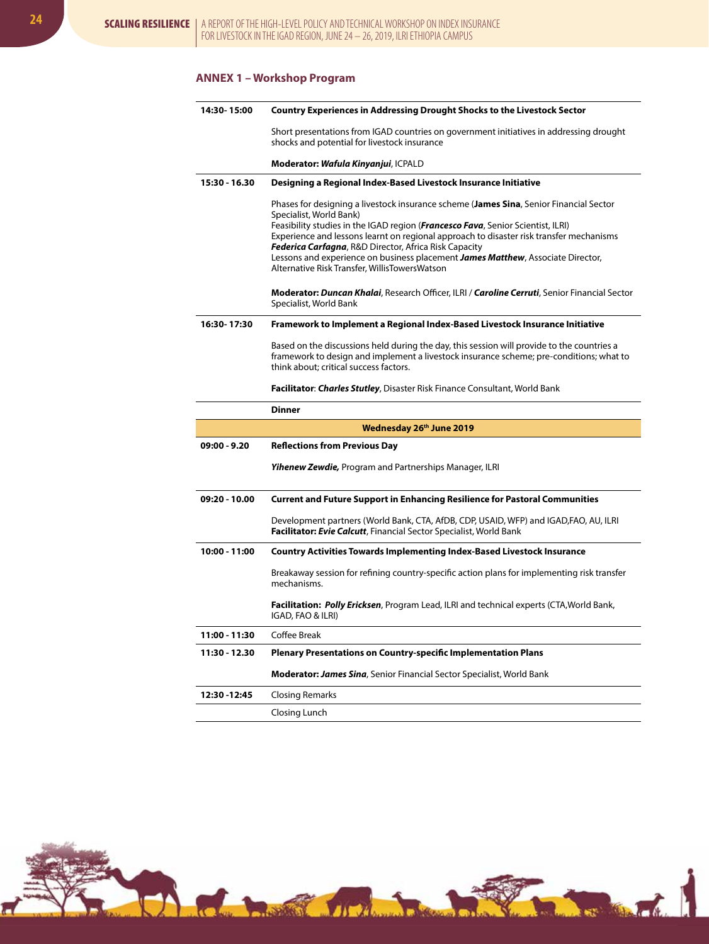# **ANNEX 1 – Workshop Program**

| 14:30-15:00                                                                                         | <b>Country Experiences in Addressing Drought Shocks to the Livestock Sector</b>                                                                                                                                                                                                                                                                                                                                                                                                              |  |
|-----------------------------------------------------------------------------------------------------|----------------------------------------------------------------------------------------------------------------------------------------------------------------------------------------------------------------------------------------------------------------------------------------------------------------------------------------------------------------------------------------------------------------------------------------------------------------------------------------------|--|
|                                                                                                     | Short presentations from IGAD countries on government initiatives in addressing drought<br>shocks and potential for livestock insurance                                                                                                                                                                                                                                                                                                                                                      |  |
|                                                                                                     | Moderator: Wafula Kinyanjui, ICPALD                                                                                                                                                                                                                                                                                                                                                                                                                                                          |  |
| 15:30 - 16.30                                                                                       | Designing a Regional Index-Based Livestock Insurance Initiative                                                                                                                                                                                                                                                                                                                                                                                                                              |  |
|                                                                                                     | Phases for designing a livestock insurance scheme (James Sina, Senior Financial Sector<br>Specialist, World Bank)<br>Feasibility studies in the IGAD region (Francesco Fava, Senior Scientist, ILRI)<br>Experience and lessons learnt on regional approach to disaster risk transfer mechanisms<br>Federica Carfagna, R&D Director, Africa Risk Capacity<br>Lessons and experience on business placement James Matthew, Associate Director,<br>Alternative Risk Transfer, WillisTowersWatson |  |
|                                                                                                     | Moderator: Duncan Khalai, Research Officer, ILRI / Caroline Cerruti, Senior Financial Sector<br>Specialist, World Bank                                                                                                                                                                                                                                                                                                                                                                       |  |
| 16:30-17:30                                                                                         | Framework to Implement a Regional Index-Based Livestock Insurance Initiative                                                                                                                                                                                                                                                                                                                                                                                                                 |  |
|                                                                                                     | Based on the discussions held during the day, this session will provide to the countries a<br>framework to design and implement a livestock insurance scheme; pre-conditions; what to<br>think about: critical success factors.                                                                                                                                                                                                                                                              |  |
|                                                                                                     | Facilitator: Charles Stutley, Disaster Risk Finance Consultant, World Bank                                                                                                                                                                                                                                                                                                                                                                                                                   |  |
|                                                                                                     | <b>Dinner</b>                                                                                                                                                                                                                                                                                                                                                                                                                                                                                |  |
|                                                                                                     | Wednesday 26th June 2019                                                                                                                                                                                                                                                                                                                                                                                                                                                                     |  |
| 09:00 - 9.20                                                                                        | <b>Reflections from Previous Day</b>                                                                                                                                                                                                                                                                                                                                                                                                                                                         |  |
|                                                                                                     | Yihenew Zewdie, Program and Partnerships Manager, ILRI                                                                                                                                                                                                                                                                                                                                                                                                                                       |  |
| 09:20 - 10.00<br><b>Current and Future Support in Enhancing Resilience for Pastoral Communities</b> |                                                                                                                                                                                                                                                                                                                                                                                                                                                                                              |  |
|                                                                                                     | Development partners (World Bank, CTA, AfDB, CDP, USAID, WFP) and IGAD, FAO, AU, ILRI<br>Facilitator: Evie Calcutt, Financial Sector Specialist, World Bank                                                                                                                                                                                                                                                                                                                                  |  |
| 10:00 - 11:00                                                                                       | <b>Country Activities Towards Implementing Index-Based Livestock Insurance</b>                                                                                                                                                                                                                                                                                                                                                                                                               |  |
|                                                                                                     |                                                                                                                                                                                                                                                                                                                                                                                                                                                                                              |  |
|                                                                                                     | Breakaway session for refining country-specific action plans for implementing risk transfer<br>mechanisms.                                                                                                                                                                                                                                                                                                                                                                                   |  |
|                                                                                                     | Facilitation: Polly Ericksen, Program Lead, ILRI and technical experts (CTA, World Bank,<br>IGAD, FAO & ILRI)                                                                                                                                                                                                                                                                                                                                                                                |  |
| 11:00 - 11:30                                                                                       | Coffee Break                                                                                                                                                                                                                                                                                                                                                                                                                                                                                 |  |
| 11:30 - 12.30                                                                                       | <b>Plenary Presentations on Country-specific Implementation Plans</b>                                                                                                                                                                                                                                                                                                                                                                                                                        |  |
|                                                                                                     | <b>Moderator: James Sina,</b> Senior Financial Sector Specialist, World Bank                                                                                                                                                                                                                                                                                                                                                                                                                 |  |
| 12:30 - 12:45                                                                                       | <b>Closing Remarks</b>                                                                                                                                                                                                                                                                                                                                                                                                                                                                       |  |

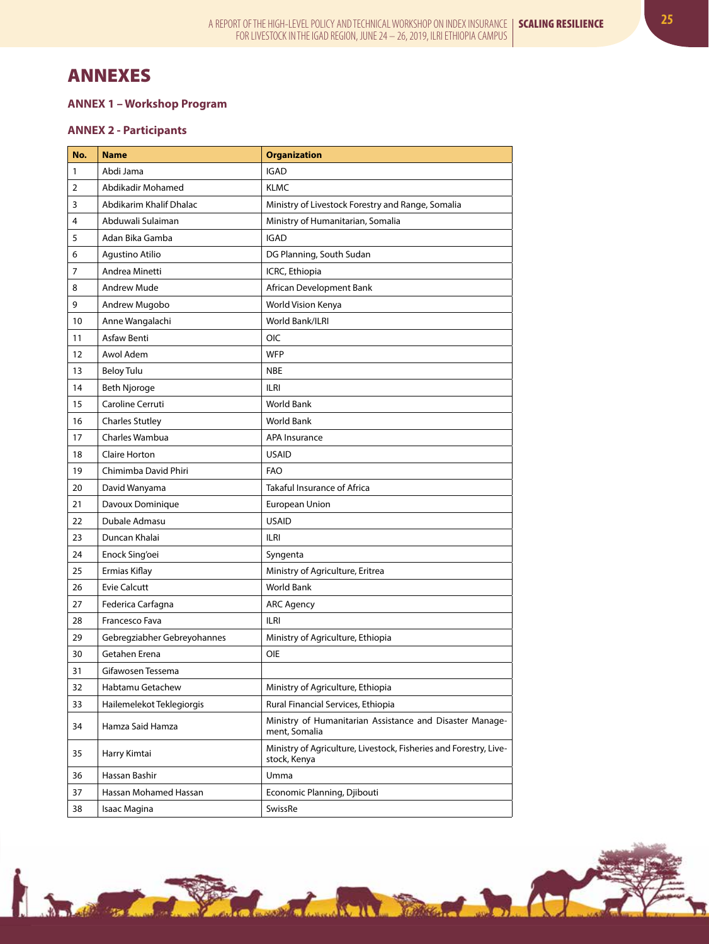# ANNEXES

# **ANNEX 1 – Workshop Program**

# **ANNEX 2 - Participants**

| No.               | <b>Name</b>                 | <b>Organization</b>                                                               |
|-------------------|-----------------------------|-----------------------------------------------------------------------------------|
| 1                 | Abdi Jama                   | <b>IGAD</b>                                                                       |
| $\overline{2}$    | Abdikadir Mohamed           | <b>KLMC</b>                                                                       |
| 3                 | Abdikarim Khalif Dhalac     | Ministry of Livestock Forestry and Range, Somalia                                 |
| 4                 | Abduwali Sulaiman           | Ministry of Humanitarian, Somalia                                                 |
| 5                 | Adan Bika Gamba             | <b>IGAD</b>                                                                       |
| 6                 | Agustino Atilio             | DG Planning, South Sudan                                                          |
| $\overline{7}$    | Andrea Minetti              | ICRC, Ethiopia                                                                    |
| 8                 | <b>Andrew Mude</b>          | African Development Bank                                                          |
| 9                 | Andrew Mugobo               | World Vision Kenya                                                                |
| 10                | Anne Wangalachi             | World Bank/ILRI                                                                   |
| 11                | Asfaw Benti                 | <b>OIC</b>                                                                        |
| $12 \overline{ }$ | Awol Adem                   | <b>WFP</b>                                                                        |
| 13                | <b>Beloy Tulu</b>           | <b>NBE</b>                                                                        |
| 14                | Beth Njoroge                | ILRI                                                                              |
| 15                | Caroline Cerruti            | <b>World Bank</b>                                                                 |
| 16                | <b>Charles Stutley</b>      | <b>World Bank</b>                                                                 |
| 17                | Charles Wambua              | APA Insurance                                                                     |
| 18                | Claire Horton               | <b>USAID</b>                                                                      |
| 19                | Chimimba David Phiri        | <b>FAO</b>                                                                        |
| 20                | David Wanyama               | Takaful Insurance of Africa                                                       |
| 21                | Davoux Dominique            | European Union                                                                    |
| 22                | Dubale Admasu               | <b>USAID</b>                                                                      |
| 23                | Duncan Khalai               | <b>ILRI</b>                                                                       |
| 24                | Enock Sing'oei              | Syngenta                                                                          |
| 25                | Ermias Kiflay               | Ministry of Agriculture, Eritrea                                                  |
| 26                | <b>Evie Calcutt</b>         | <b>World Bank</b>                                                                 |
| 27                | Federica Carfagna           | <b>ARC Agency</b>                                                                 |
| 28                | Francesco Fava              | <b>ILRI</b>                                                                       |
| 29                | Gebregziabher Gebreyohannes | Ministry of Agriculture, Ethiopia                                                 |
| 30                | Getahen Erena               | <b>OIE</b>                                                                        |
| 31                | Gifawosen Tessema           |                                                                                   |
| 32                | Habtamu Getachew            | Ministry of Agriculture, Ethiopia                                                 |
| 33                | Hailemelekot Teklegiorgis   | Rural Financial Services, Ethiopia                                                |
| 34                | Hamza Said Hamza            | Ministry of Humanitarian Assistance and Disaster Manage-<br>ment, Somalia         |
| 35                | Harry Kimtai                | Ministry of Agriculture, Livestock, Fisheries and Forestry, Live-<br>stock, Kenya |
| 36                | Hassan Bashir               | Umma                                                                              |
| 37                | Hassan Mohamed Hassan       | Economic Planning, Djibouti                                                       |
| 38                | Isaac Magina                | SwissRe                                                                           |

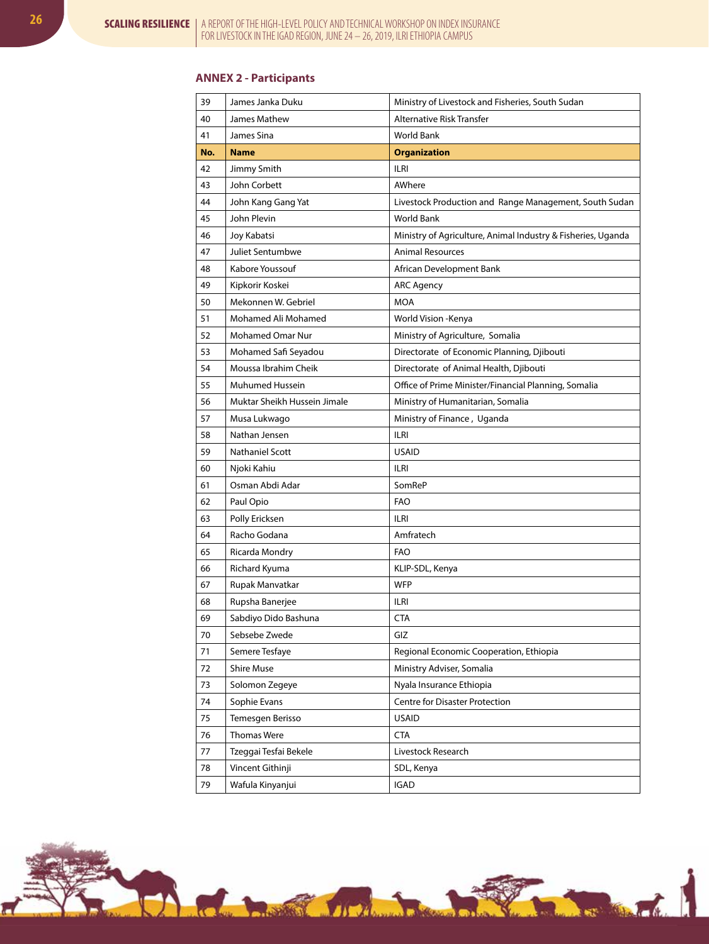# **ANNEX 2 - Participants**

| 39  | James Janka Duku             | Ministry of Livestock and Fisheries, South Sudan             |
|-----|------------------------------|--------------------------------------------------------------|
| 40  | James Mathew                 | Alternative Risk Transfer                                    |
| 41  | James Sina                   | World Bank                                                   |
| No. | <b>Name</b>                  | <b>Organization</b>                                          |
| 42  | Jimmy Smith                  | <b>ILRI</b>                                                  |
| 43  | John Corbett                 | AWhere                                                       |
| 44  | John Kang Gang Yat           | Livestock Production and Range Management, South Sudan       |
| 45  | John Plevin                  | World Bank                                                   |
| 46  | Joy Kabatsi                  | Ministry of Agriculture, Animal Industry & Fisheries, Uganda |
| 47  | <b>Juliet Sentumbwe</b>      | <b>Animal Resources</b>                                      |
| 48  | Kabore Youssouf              | African Development Bank                                     |
| 49  | Kipkorir Koskei              | <b>ARC Agency</b>                                            |
| 50  | Mekonnen W. Gebriel          | <b>MOA</b>                                                   |
| 51  | Mohamed Ali Mohamed          | World Vision -Kenya                                          |
| 52  | Mohamed Omar Nur             | Ministry of Agriculture, Somalia                             |
| 53  | Mohamed Safi Seyadou         | Directorate of Economic Planning, Djibouti                   |
| 54  | Moussa Ibrahim Cheik         | Directorate of Animal Health, Djibouti                       |
| 55  | Muhumed Hussein              | Office of Prime Minister/Financial Planning, Somalia         |
| 56  | Muktar Sheikh Hussein Jimale | Ministry of Humanitarian, Somalia                            |
| 57  | Musa Lukwago                 | Ministry of Finance, Uganda                                  |
| 58  | Nathan Jensen                | <b>ILRI</b>                                                  |
| 59  | Nathaniel Scott              | <b>USAID</b>                                                 |
| 60  | Njoki Kahiu                  | <b>ILRI</b>                                                  |
| 61  | Osman Abdi Adar              | SomReP                                                       |
| 62  | Paul Opio                    | <b>FAO</b>                                                   |
| 63  | Polly Ericksen               | <b>ILRI</b>                                                  |
| 64  | Racho Godana                 | Amfratech                                                    |
| 65  | Ricarda Mondry               | <b>FAO</b>                                                   |
| 66  | Richard Kyuma                | KLIP-SDL, Kenya                                              |
| 67  | Rupak Manvatkar              | <b>WFP</b>                                                   |
| 68  | Rupsha Banerjee              | ILRI                                                         |
| 69  | Sabdiyo Dido Bashuna         | <b>CTA</b>                                                   |
| 70  | Sebsebe Zwede                | GIZ                                                          |
| 71  | Semere Tesfaye               | Regional Economic Cooperation, Ethiopia                      |
| 72  | <b>Shire Muse</b>            | Ministry Adviser, Somalia                                    |
| 73  | Solomon Zegeye               | Nyala Insurance Ethiopia                                     |
| 74  | Sophie Evans                 | <b>Centre for Disaster Protection</b>                        |
| 75  | Temesgen Berisso             | <b>USAID</b>                                                 |
| 76  | <b>Thomas Were</b>           | <b>CTA</b>                                                   |
| 77  | Tzeggai Tesfai Bekele        | Livestock Research                                           |
| 78  | Vincent Githinji             | SDL, Kenya                                                   |
| 79  | Wafula Kinyanjui             | <b>IGAD</b>                                                  |

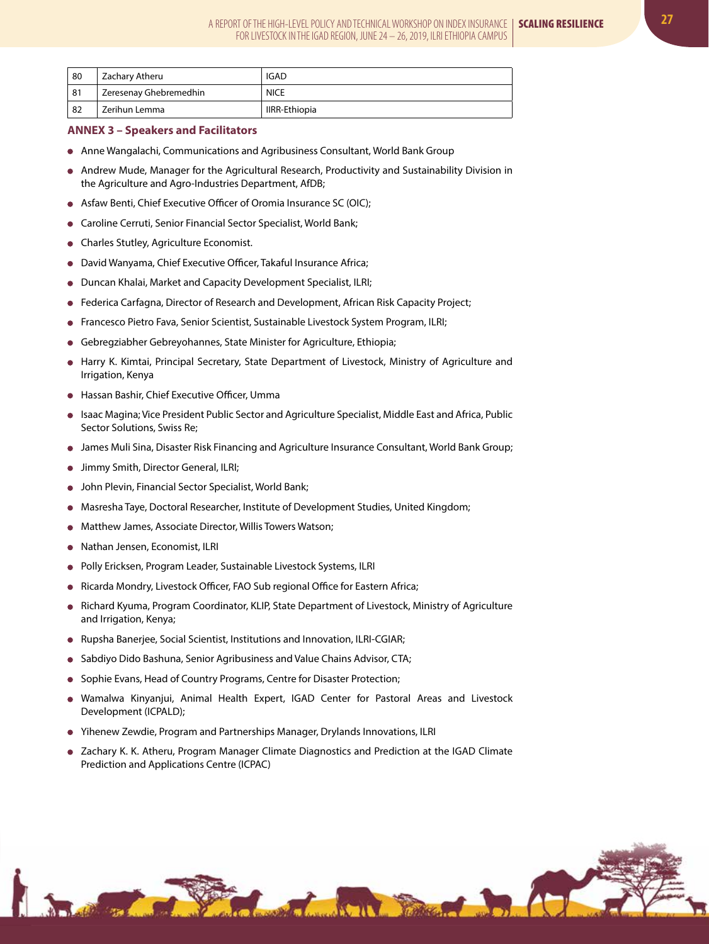| 80 | Zachary Atheru         | IGAD          |
|----|------------------------|---------------|
| 81 | Zeresenay Ghebremedhin | <b>NICE</b>   |
| 82 | Zerihun Lemma          | IIRR-Ethiopia |

#### **ANNEX 3 – Speakers and Facilitators**

- Anne Wangalachi, Communications and Agribusiness Consultant, World Bank Group
- Andrew Mude, Manager for the Agricultural Research, Productivity and Sustainability Division in the Agriculture and Agro-Industries Department, AfDB;
- Asfaw Benti, Chief Executive Officer of Oromia Insurance SC (OIC);
- Caroline Cerruti, Senior Financial Sector Specialist, World Bank;
- Charles Stutley, Agriculture Economist.
- David Wanyama, Chief Executive Officer, Takaful Insurance Africa;
- Duncan Khalai, Market and Capacity Development Specialist, ILRI;
- Federica Carfagna, Director of Research and Development, African Risk Capacity Project;
- Francesco Pietro Fava, Senior Scientist, Sustainable Livestock System Program, ILRI;
- Gebregziabher Gebreyohannes, State Minister for Agriculture, Ethiopia;
- Harry K. Kimtai, Principal Secretary, State Department of Livestock, Ministry of Agriculture and Irrigation, Kenya
- Hassan Bashir, Chief Executive Officer, Umma
- Isaac Magina; Vice President Public Sector and Agriculture Specialist, Middle East and Africa, Public Sector Solutions, Swiss Re;
- James Muli Sina, Disaster Risk Financing and Agriculture Insurance Consultant, World Bank Group;
- Jimmy Smith, Director General, ILRI;
- John Plevin, Financial Sector Specialist, World Bank;
- Masresha Taye, Doctoral Researcher, Institute of Development Studies, United Kingdom;
- Matthew James, Associate Director, Willis Towers Watson;  $\bullet$
- **Nathan Jensen, Economist, ILRI**
- Polly Ericksen, Program Leader, Sustainable Livestock Systems, ILRI  $\bullet$
- Ricarda Mondry, Livestock Officer, FAO Sub regional Office for Eastern Africa;
- Richard Kyuma, Program Coordinator, KLIP, State Department of Livestock, Ministry of Agriculture and Irrigation, Kenya;
- Rupsha Banerjee, Social Scientist, Institutions and Innovation, ILRI-CGIAR;
- Sabdiyo Dido Bashuna, Senior Agribusiness and Value Chains Advisor, CTA;
- Sophie Evans, Head of Country Programs, Centre for Disaster Protection;
- Wamalwa Kinyanjui, Animal Health Expert, IGAD Center for Pastoral Areas and Livestock Development (ICPALD);
- Yihenew Zewdie, Program and Partnerships Manager, Drylands Innovations, ILRI
- Zachary K. K. Atheru, Program Manager Climate Diagnostics and Prediction at the IGAD Climate Prediction and Applications Centre (ICPAC)